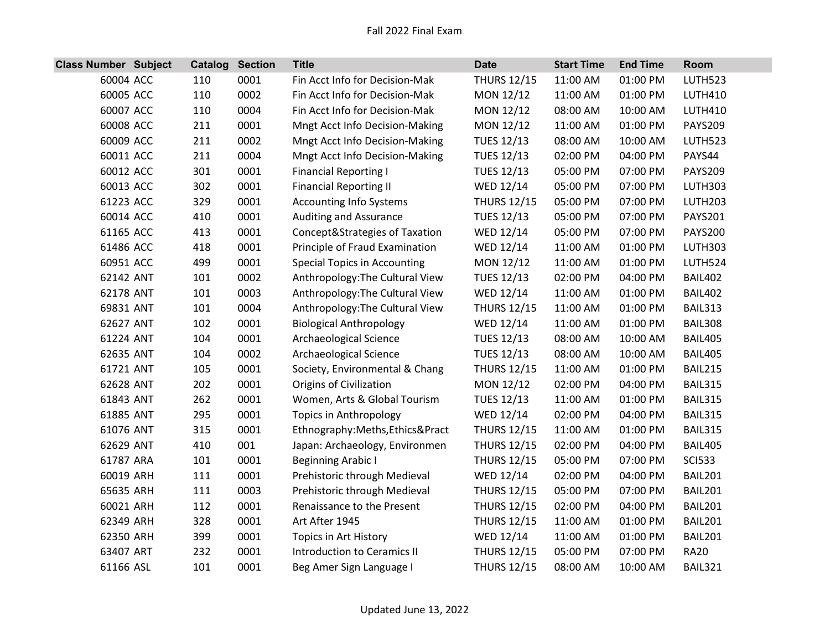| <b>Class Number Subject</b> | Catalog | <b>Section</b> | <b>Title</b>                        | <b>Date</b>        | <b>Start Time</b> | <b>End Time</b> | Room           |
|-----------------------------|---------|----------------|-------------------------------------|--------------------|-------------------|-----------------|----------------|
| 60004 ACC                   | 110     | 0001           | Fin Acct Info for Decision-Mak      | <b>THURS 12/15</b> | 11:00 AM          | 01:00 PM        | <b>LUTH523</b> |
| 60005 ACC                   | 110     | 0002           | Fin Acct Info for Decision-Mak      | MON 12/12          | 11:00 AM          | 01:00 PM        | <b>LUTH410</b> |
| 60007 ACC                   | 110     | 0004           | Fin Acct Info for Decision-Mak      | MON 12/12          | 08:00 AM          | 10:00 AM        | <b>LUTH410</b> |
| 60008 ACC                   | 211     | 0001           | Mngt Acct Info Decision-Making      | MON 12/12          | 11:00 AM          | 01:00 PM        | <b>PAYS209</b> |
| 60009 ACC                   | 211     | 0002           | Mngt Acct Info Decision-Making      | <b>TUES 12/13</b>  | 08:00 AM          | 10:00 AM        | <b>LUTH523</b> |
| 60011 ACC                   | 211     | 0004           | Mngt Acct Info Decision-Making      | <b>TUES 12/13</b>  | 02:00 PM          | 04:00 PM        | PAYS44         |
| 60012 ACC                   | 301     | 0001           | <b>Financial Reporting I</b>        | <b>TUES 12/13</b>  | 05:00 PM          | 07:00 PM        | <b>PAYS209</b> |
| 60013 ACC                   | 302     | 0001           | <b>Financial Reporting II</b>       | WED 12/14          | 05:00 PM          | 07:00 PM        | <b>LUTH303</b> |
| 61223 ACC                   | 329     | 0001           | <b>Accounting Info Systems</b>      | <b>THURS 12/15</b> | 05:00 PM          | 07:00 PM        | <b>LUTH203</b> |
| 60014 ACC                   | 410     | 0001           | <b>Auditing and Assurance</b>       | <b>TUES 12/13</b>  | 05:00 PM          | 07:00 PM        | <b>PAYS201</b> |
| 61165 ACC                   | 413     | 0001           | Concept&Strategies of Taxation      | WED 12/14          | 05:00 PM          | 07:00 PM        | <b>PAYS200</b> |
| 61486 ACC                   | 418     | 0001           | Principle of Fraud Examination      | WED 12/14          | 11:00 AM          | 01:00 PM        | <b>LUTH303</b> |
| 60951 ACC                   | 499     | 0001           | <b>Special Topics in Accounting</b> | MON 12/12          | 11:00 AM          | 01:00 PM        | <b>LUTH524</b> |
| 62142 ANT                   | 101     | 0002           | Anthropology: The Cultural View     | <b>TUES 12/13</b>  | 02:00 PM          | 04:00 PM        | <b>BAIL402</b> |
| 62178 ANT                   | 101     | 0003           | Anthropology: The Cultural View     | WED 12/14          | 11:00 AM          | 01:00 PM        | <b>BAIL402</b> |
| 69831 ANT                   | 101     | 0004           | Anthropology: The Cultural View     | <b>THURS 12/15</b> | 11:00 AM          | 01:00 PM        | BAIL313        |
| 62627 ANT                   | 102     | 0001           | <b>Biological Anthropology</b>      | WED 12/14          | 11:00 AM          | 01:00 PM        | BAIL308        |
| 61224 ANT                   | 104     | 0001           | Archaeological Science              | <b>TUES 12/13</b>  | 08:00 AM          | 10:00 AM        | <b>BAIL405</b> |
| 62635 ANT                   | 104     | 0002           | Archaeological Science              | <b>TUES 12/13</b>  | 08:00 AM          | 10:00 AM        | <b>BAIL405</b> |
| 61721 ANT                   | 105     | 0001           | Society, Environmental & Chang      | <b>THURS 12/15</b> | 11:00 AM          | 01:00 PM        | <b>BAIL215</b> |
| 62628 ANT                   | 202     | 0001           | <b>Origins of Civilization</b>      | MON 12/12          | 02:00 PM          | 04:00 PM        | BAIL315        |
| 61843 ANT                   | 262     | 0001           | Women, Arts & Global Tourism        | <b>TUES 12/13</b>  | 11:00 AM          | 01:00 PM        | BAIL315        |
| 61885 ANT                   | 295     | 0001           | <b>Topics in Anthropology</b>       | WED 12/14          | 02:00 PM          | 04:00 PM        | BAIL315        |
| 61076 ANT                   | 315     | 0001           | Ethnography: Meths, Ethics& Pract   | <b>THURS 12/15</b> | 11:00 AM          | 01:00 PM        | BAIL315        |
| 62629 ANT                   | 410     | 001            | Japan: Archaeology, Environmen      | <b>THURS 12/15</b> | 02:00 PM          | 04:00 PM        | <b>BAIL405</b> |
| 61787 ARA                   | 101     | 0001           | <b>Beginning Arabic I</b>           | <b>THURS 12/15</b> | 05:00 PM          | 07:00 PM        | <b>SCI533</b>  |
| 60019 ARH                   | 111     | 0001           | Prehistoric through Medieval        | WED 12/14          | 02:00 PM          | 04:00 PM        | <b>BAIL201</b> |
| 65635 ARH                   | 111     | 0003           | Prehistoric through Medieval        | <b>THURS 12/15</b> | 05:00 PM          | 07:00 PM        | <b>BAIL201</b> |
| 60021 ARH                   | 112     | 0001           | Renaissance to the Present          | <b>THURS 12/15</b> | 02:00 PM          | 04:00 PM        | BAIL201        |
| 62349 ARH                   | 328     | 0001           | Art After 1945                      | <b>THURS 12/15</b> | 11:00 AM          | 01:00 PM        | <b>BAIL201</b> |
| 62350 ARH                   | 399     | 0001           | Topics in Art History               | WED 12/14          | 11:00 AM          | 01:00 PM        | <b>BAIL201</b> |
| 63407 ART                   | 232     | 0001           | <b>Introduction to Ceramics II</b>  | <b>THURS 12/15</b> | 05:00 PM          | 07:00 PM        | <b>RA20</b>    |
| 61166 ASL                   | 101     | 0001           | Beg Amer Sign Language I            | <b>THURS 12/15</b> | 08:00 AM          | 10:00 AM        | BAIL321        |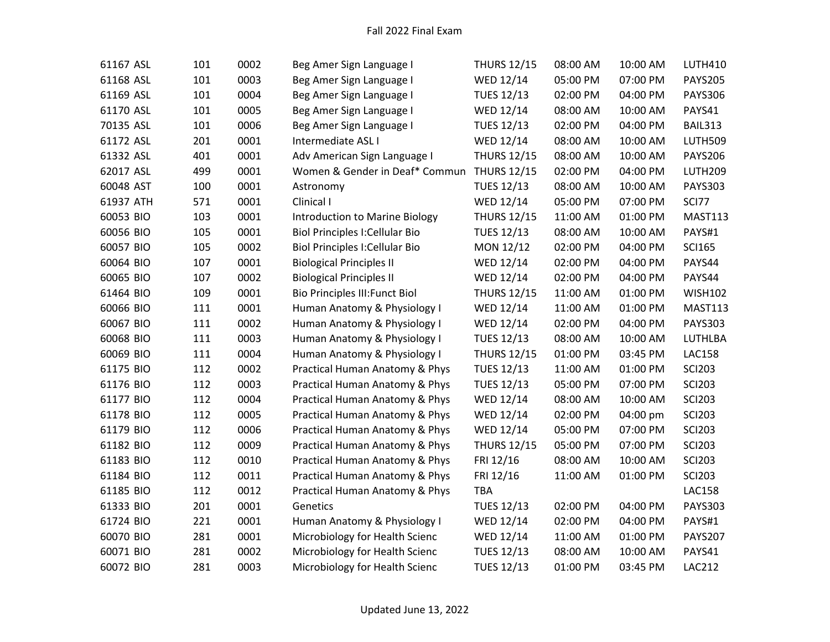| 61167 ASL | 101 | 0002 | Beg Amer Sign Language I               | <b>THURS 12/15</b> | 08:00 AM | 10:00 AM | <b>LUTH410</b> |
|-----------|-----|------|----------------------------------------|--------------------|----------|----------|----------------|
| 61168 ASL | 101 | 0003 | Beg Amer Sign Language I               | WED 12/14          | 05:00 PM | 07:00 PM | <b>PAYS205</b> |
| 61169 ASL | 101 | 0004 | Beg Amer Sign Language I               | <b>TUES 12/13</b>  | 02:00 PM | 04:00 PM | <b>PAYS306</b> |
| 61170 ASL | 101 | 0005 | Beg Amer Sign Language I               | WED 12/14          | 08:00 AM | 10:00 AM | PAYS41         |
| 70135 ASL | 101 | 0006 | Beg Amer Sign Language I               | <b>TUES 12/13</b>  | 02:00 PM | 04:00 PM | BAIL313        |
| 61172 ASL | 201 | 0001 | Intermediate ASL I                     | WED 12/14          | 08:00 AM | 10:00 AM | <b>LUTH509</b> |
| 61332 ASL | 401 | 0001 | Adv American Sign Language I           | <b>THURS 12/15</b> | 08:00 AM | 10:00 AM | <b>PAYS206</b> |
| 62017 ASL | 499 | 0001 | Women & Gender in Deaf* Commun         | <b>THURS 12/15</b> | 02:00 PM | 04:00 PM | <b>LUTH209</b> |
| 60048 AST | 100 | 0001 | Astronomy                              | <b>TUES 12/13</b>  | 08:00 AM | 10:00 AM | <b>PAYS303</b> |
| 61937 ATH | 571 | 0001 | Clinical I                             | WED 12/14          | 05:00 PM | 07:00 PM | SCI77          |
| 60053 BIO | 103 | 0001 | Introduction to Marine Biology         | <b>THURS 12/15</b> | 11:00 AM | 01:00 PM | <b>MAST113</b> |
| 60056 BIO | 105 | 0001 | <b>Biol Principles I: Cellular Bio</b> | <b>TUES 12/13</b>  | 08:00 AM | 10:00 AM | PAYS#1         |
| 60057 BIO | 105 | 0002 | <b>Biol Principles I: Cellular Bio</b> | MON 12/12          | 02:00 PM | 04:00 PM | <b>SCI165</b>  |
| 60064 BIO | 107 | 0001 | <b>Biological Principles II</b>        | WED 12/14          | 02:00 PM | 04:00 PM | PAYS44         |
| 60065 BIO | 107 | 0002 | <b>Biological Principles II</b>        | WED 12/14          | 02:00 PM | 04:00 PM | PAYS44         |
| 61464 BIO | 109 | 0001 | Bio Principles III: Funct Biol         | <b>THURS 12/15</b> | 11:00 AM | 01:00 PM | <b>WISH102</b> |
| 60066 BIO | 111 | 0001 | Human Anatomy & Physiology I           | WED 12/14          | 11:00 AM | 01:00 PM | <b>MAST113</b> |
| 60067 BIO | 111 | 0002 | Human Anatomy & Physiology I           | WED 12/14          | 02:00 PM | 04:00 PM | <b>PAYS303</b> |
| 60068 BIO | 111 | 0003 | Human Anatomy & Physiology I           | <b>TUES 12/13</b>  | 08:00 AM | 10:00 AM | LUTHLBA        |
| 60069 BIO | 111 | 0004 | Human Anatomy & Physiology I           | <b>THURS 12/15</b> | 01:00 PM | 03:45 PM | <b>LAC158</b>  |
| 61175 BIO | 112 | 0002 | Practical Human Anatomy & Phys         | <b>TUES 12/13</b>  | 11:00 AM | 01:00 PM | <b>SCI203</b>  |
| 61176 BIO | 112 | 0003 | Practical Human Anatomy & Phys         | <b>TUES 12/13</b>  | 05:00 PM | 07:00 PM | <b>SCI203</b>  |
| 61177 BIO | 112 | 0004 | Practical Human Anatomy & Phys         | WED 12/14          | 08:00 AM | 10:00 AM | <b>SCI203</b>  |
| 61178 BIO | 112 | 0005 | Practical Human Anatomy & Phys         | WED 12/14          | 02:00 PM | 04:00 pm | <b>SCI203</b>  |
| 61179 BIO | 112 | 0006 | Practical Human Anatomy & Phys         | WED 12/14          | 05:00 PM | 07:00 PM | <b>SCI203</b>  |
| 61182 BIO | 112 | 0009 | Practical Human Anatomy & Phys         | <b>THURS 12/15</b> | 05:00 PM | 07:00 PM | <b>SCI203</b>  |
| 61183 BIO | 112 | 0010 | Practical Human Anatomy & Phys         | FRI 12/16          | 08:00 AM | 10:00 AM | <b>SCI203</b>  |
| 61184 BIO | 112 | 0011 | Practical Human Anatomy & Phys         | FRI 12/16          | 11:00 AM | 01:00 PM | <b>SCI203</b>  |
| 61185 BIO | 112 | 0012 | Practical Human Anatomy & Phys         | <b>TBA</b>         |          |          | <b>LAC158</b>  |
| 61333 BIO | 201 | 0001 | Genetics                               | <b>TUES 12/13</b>  | 02:00 PM | 04:00 PM | <b>PAYS303</b> |
| 61724 BIO | 221 | 0001 | Human Anatomy & Physiology I           | WED 12/14          | 02:00 PM | 04:00 PM | PAYS#1         |
| 60070 BIO | 281 | 0001 | Microbiology for Health Scienc         | WED 12/14          | 11:00 AM | 01:00 PM | <b>PAYS207</b> |
| 60071 BIO | 281 | 0002 | Microbiology for Health Scienc         | <b>TUES 12/13</b>  | 08:00 AM | 10:00 AM | PAYS41         |
| 60072 BIO | 281 | 0003 | Microbiology for Health Scienc         | <b>TUES 12/13</b>  | 01:00 PM | 03:45 PM | <b>LAC212</b>  |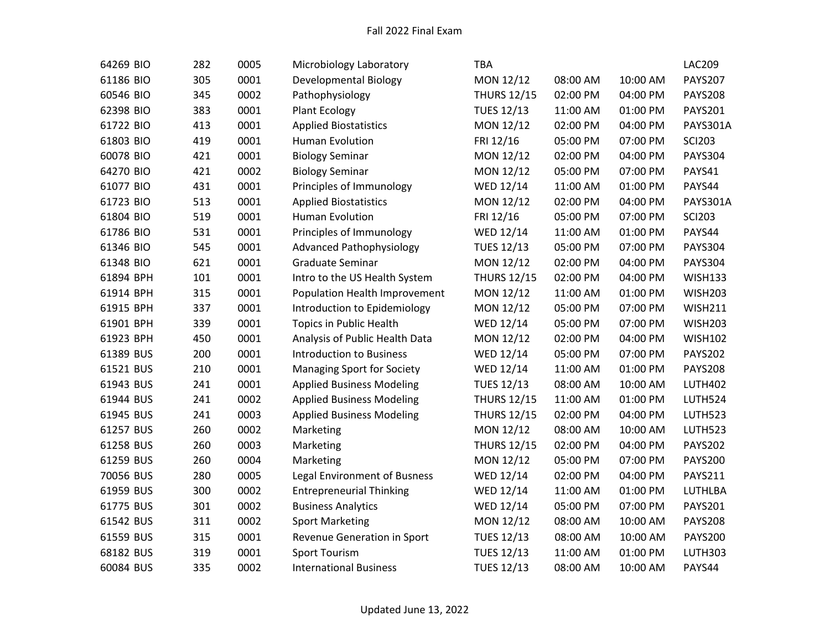| 64269 BIO | 282 | 0005 | Microbiology Laboratory          | TBA                |          |          | <b>LAC209</b>  |
|-----------|-----|------|----------------------------------|--------------------|----------|----------|----------------|
| 61186 BIO | 305 | 0001 | Developmental Biology            | MON 12/12          | 08:00 AM | 10:00 AM | <b>PAYS207</b> |
| 60546 BIO | 345 | 0002 | Pathophysiology                  | <b>THURS 12/15</b> | 02:00 PM | 04:00 PM | <b>PAYS208</b> |
| 62398 BIO | 383 | 0001 | <b>Plant Ecology</b>             | <b>TUES 12/13</b>  | 11:00 AM | 01:00 PM | <b>PAYS201</b> |
| 61722 BIO | 413 | 0001 | <b>Applied Biostatistics</b>     | MON 12/12          | 02:00 PM | 04:00 PM | PAYS301A       |
| 61803 BIO | 419 | 0001 | <b>Human Evolution</b>           | FRI 12/16          | 05:00 PM | 07:00 PM | <b>SCI203</b>  |
| 60078 BIO | 421 | 0001 | <b>Biology Seminar</b>           | MON 12/12          | 02:00 PM | 04:00 PM | <b>PAYS304</b> |
| 64270 BIO | 421 | 0002 | <b>Biology Seminar</b>           | MON 12/12          | 05:00 PM | 07:00 PM | PAYS41         |
| 61077 BIO | 431 | 0001 | Principles of Immunology         | WED 12/14          | 11:00 AM | 01:00 PM | PAYS44         |
| 61723 BIO | 513 | 0001 | <b>Applied Biostatistics</b>     | MON 12/12          | 02:00 PM | 04:00 PM | PAYS301A       |
| 61804 BIO | 519 | 0001 | <b>Human Evolution</b>           | FRI 12/16          | 05:00 PM | 07:00 PM | <b>SCI203</b>  |
| 61786 BIO | 531 | 0001 | Principles of Immunology         | WED 12/14          | 11:00 AM | 01:00 PM | PAYS44         |
| 61346 BIO | 545 | 0001 | <b>Advanced Pathophysiology</b>  | <b>TUES 12/13</b>  | 05:00 PM | 07:00 PM | <b>PAYS304</b> |
| 61348 BIO | 621 | 0001 | Graduate Seminar                 | MON 12/12          | 02:00 PM | 04:00 PM | <b>PAYS304</b> |
| 61894 BPH | 101 | 0001 | Intro to the US Health System    | <b>THURS 12/15</b> | 02:00 PM | 04:00 PM | <b>WISH133</b> |
| 61914 BPH | 315 | 0001 | Population Health Improvement    | MON 12/12          | 11:00 AM | 01:00 PM | <b>WISH203</b> |
| 61915 BPH | 337 | 0001 | Introduction to Epidemiology     | MON 12/12          | 05:00 PM | 07:00 PM | <b>WISH211</b> |
| 61901 BPH | 339 | 0001 | Topics in Public Health          | WED 12/14          | 05:00 PM | 07:00 PM | <b>WISH203</b> |
| 61923 BPH | 450 | 0001 | Analysis of Public Health Data   | MON 12/12          | 02:00 PM | 04:00 PM | <b>WISH102</b> |
| 61389 BUS | 200 | 0001 | <b>Introduction to Business</b>  | WED 12/14          | 05:00 PM | 07:00 PM | <b>PAYS202</b> |
| 61521 BUS | 210 | 0001 | Managing Sport for Society       | WED 12/14          | 11:00 AM | 01:00 PM | <b>PAYS208</b> |
| 61943 BUS | 241 | 0001 | <b>Applied Business Modeling</b> | <b>TUES 12/13</b>  | 08:00 AM | 10:00 AM | <b>LUTH402</b> |
| 61944 BUS | 241 | 0002 | <b>Applied Business Modeling</b> | <b>THURS 12/15</b> | 11:00 AM | 01:00 PM | <b>LUTH524</b> |
| 61945 BUS | 241 | 0003 | <b>Applied Business Modeling</b> | <b>THURS 12/15</b> | 02:00 PM | 04:00 PM | <b>LUTH523</b> |
| 61257 BUS | 260 | 0002 | Marketing                        | MON 12/12          | 08:00 AM | 10:00 AM | <b>LUTH523</b> |
| 61258 BUS | 260 | 0003 | Marketing                        | <b>THURS 12/15</b> | 02:00 PM | 04:00 PM | <b>PAYS202</b> |
| 61259 BUS | 260 | 0004 | Marketing                        | MON 12/12          | 05:00 PM | 07:00 PM | <b>PAYS200</b> |
| 70056 BUS | 280 | 0005 | Legal Environment of Busness     | WED 12/14          | 02:00 PM | 04:00 PM | <b>PAYS211</b> |
| 61959 BUS | 300 | 0002 | <b>Entrepreneurial Thinking</b>  | WED 12/14          | 11:00 AM | 01:00 PM | LUTHLBA        |
| 61775 BUS | 301 | 0002 | <b>Business Analytics</b>        | WED 12/14          | 05:00 PM | 07:00 PM | <b>PAYS201</b> |
| 61542 BUS | 311 | 0002 | <b>Sport Marketing</b>           | MON 12/12          | 08:00 AM | 10:00 AM | <b>PAYS208</b> |
| 61559 BUS | 315 | 0001 | Revenue Generation in Sport      | <b>TUES 12/13</b>  | 08:00 AM | 10:00 AM | <b>PAYS200</b> |
| 68182 BUS | 319 | 0001 | <b>Sport Tourism</b>             | <b>TUES 12/13</b>  | 11:00 AM | 01:00 PM | <b>LUTH303</b> |
| 60084 BUS | 335 | 0002 | <b>International Business</b>    | <b>TUES 12/13</b>  | 08:00 AM | 10:00 AM | PAYS44         |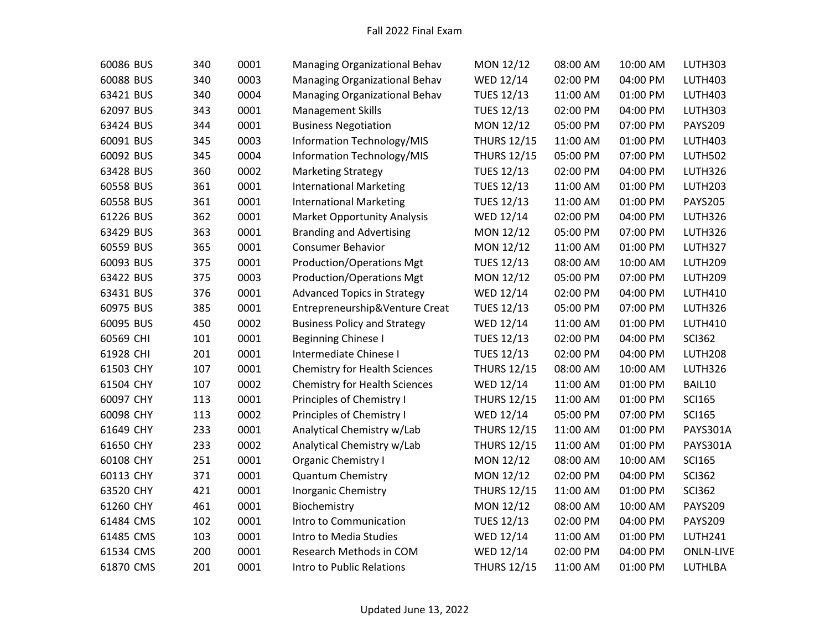| 60086 BUS | 340 | 0001 | Managing Organizational Behav        | MON 12/12          | 08:00 AM | 10:00 AM | <b>LUTH303</b>   |
|-----------|-----|------|--------------------------------------|--------------------|----------|----------|------------------|
| 60088 BUS | 340 | 0003 | Managing Organizational Behav        | WED 12/14          | 02:00 PM | 04:00 PM | <b>LUTH403</b>   |
| 63421 BUS | 340 | 0004 | Managing Organizational Behav        | <b>TUES 12/13</b>  | 11:00 AM | 01:00 PM | <b>LUTH403</b>   |
| 62097 BUS | 343 | 0001 | <b>Management Skills</b>             | <b>TUES 12/13</b>  | 02:00 PM | 04:00 PM | <b>LUTH303</b>   |
| 63424 BUS | 344 | 0001 | <b>Business Negotiation</b>          | MON 12/12          | 05:00 PM | 07:00 PM | <b>PAYS209</b>   |
| 60091 BUS | 345 | 0003 | Information Technology/MIS           | <b>THURS 12/15</b> | 11:00 AM | 01:00 PM | <b>LUTH403</b>   |
| 60092 BUS | 345 | 0004 | Information Technology/MIS           | <b>THURS 12/15</b> | 05:00 PM | 07:00 PM | <b>LUTH502</b>   |
| 63428 BUS | 360 | 0002 | <b>Marketing Strategy</b>            | <b>TUES 12/13</b>  | 02:00 PM | 04:00 PM | <b>LUTH326</b>   |
| 60558 BUS | 361 | 0001 | <b>International Marketing</b>       | <b>TUES 12/13</b>  | 11:00 AM | 01:00 PM | <b>LUTH203</b>   |
| 60558 BUS | 361 | 0001 | <b>International Marketing</b>       | <b>TUES 12/13</b>  | 11:00 AM | 01:00 PM | <b>PAYS205</b>   |
| 61226 BUS | 362 | 0001 | <b>Market Opportunity Analysis</b>   | WED 12/14          | 02:00 PM | 04:00 PM | <b>LUTH326</b>   |
| 63429 BUS | 363 | 0001 | <b>Branding and Advertising</b>      | MON 12/12          | 05:00 PM | 07:00 PM | <b>LUTH326</b>   |
| 60559 BUS | 365 | 0001 | <b>Consumer Behavior</b>             | MON 12/12          | 11:00 AM | 01:00 PM | LUTH327          |
| 60093 BUS | 375 | 0001 | <b>Production/Operations Mgt</b>     | <b>TUES 12/13</b>  | 08:00 AM | 10:00 AM | <b>LUTH209</b>   |
| 63422 BUS | 375 | 0003 | <b>Production/Operations Mgt</b>     | MON 12/12          | 05:00 PM | 07:00 PM | <b>LUTH209</b>   |
| 63431 BUS | 376 | 0001 | <b>Advanced Topics in Strategy</b>   | WED 12/14          | 02:00 PM | 04:00 PM | <b>LUTH410</b>   |
| 60975 BUS | 385 | 0001 | Entrepreneurship&Venture Creat       | <b>TUES 12/13</b>  | 05:00 PM | 07:00 PM | <b>LUTH326</b>   |
| 60095 BUS | 450 | 0002 | <b>Business Policy and Strategy</b>  | WED 12/14          | 11:00 AM | 01:00 PM | <b>LUTH410</b>   |
| 60569 CHI | 101 | 0001 | <b>Beginning Chinese I</b>           | <b>TUES 12/13</b>  | 02:00 PM | 04:00 PM | <b>SCI362</b>    |
| 61928 CHI | 201 | 0001 | Intermediate Chinese I               | <b>TUES 12/13</b>  | 02:00 PM | 04:00 PM | <b>LUTH208</b>   |
| 61503 CHY | 107 | 0001 | <b>Chemistry for Health Sciences</b> | <b>THURS 12/15</b> | 08:00 AM | 10:00 AM | <b>LUTH326</b>   |
| 61504 CHY | 107 | 0002 | <b>Chemistry for Health Sciences</b> | WED 12/14          | 11:00 AM | 01:00 PM | BAIL10           |
| 60097 CHY | 113 | 0001 | Principles of Chemistry I            | <b>THURS 12/15</b> | 11:00 AM | 01:00 PM | <b>SCI165</b>    |
| 60098 CHY | 113 | 0002 | Principles of Chemistry I            | WED 12/14          | 05:00 PM | 07:00 PM | <b>SCI165</b>    |
| 61649 CHY | 233 | 0001 | Analytical Chemistry w/Lab           | <b>THURS 12/15</b> | 11:00 AM | 01:00 PM | PAYS301A         |
| 61650 CHY | 233 | 0002 | Analytical Chemistry w/Lab           | <b>THURS 12/15</b> | 11:00 AM | 01:00 PM | PAYS301A         |
| 60108 CHY | 251 | 0001 | Organic Chemistry I                  | MON 12/12          | 08:00 AM | 10:00 AM | <b>SCI165</b>    |
| 60113 CHY | 371 | 0001 | Quantum Chemistry                    | MON 12/12          | 02:00 PM | 04:00 PM | <b>SCI362</b>    |
| 63520 CHY | 421 | 0001 | <b>Inorganic Chemistry</b>           | <b>THURS 12/15</b> | 11:00 AM | 01:00 PM | <b>SCI362</b>    |
| 61260 CHY | 461 | 0001 | Biochemistry                         | MON 12/12          | 08:00 AM | 10:00 AM | <b>PAYS209</b>   |
| 61484 CMS | 102 | 0001 | Intro to Communication               | <b>TUES 12/13</b>  | 02:00 PM | 04:00 PM | <b>PAYS209</b>   |
| 61485 CMS | 103 | 0001 | Intro to Media Studies               | WED 12/14          | 11:00 AM | 01:00 PM | <b>LUTH241</b>   |
| 61534 CMS | 200 | 0001 | Research Methods in COM              | WED 12/14          | 02:00 PM | 04:00 PM | <b>ONLN-LIVE</b> |
| 61870 CMS | 201 | 0001 | Intro to Public Relations            | <b>THURS 12/15</b> | 11:00 AM | 01:00 PM | <b>LUTHLBA</b>   |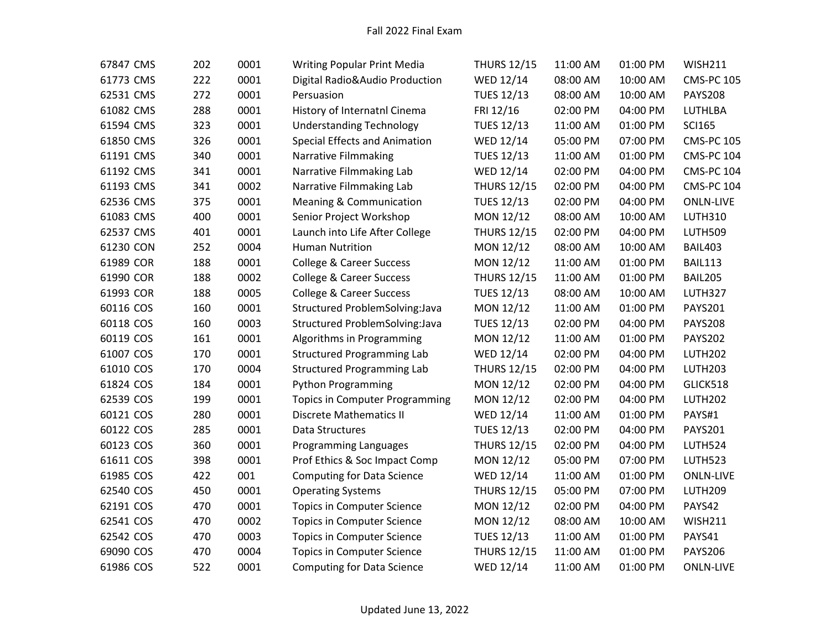| 67847 CMS | 202 | 0001 | <b>Writing Popular Print Media</b>    | <b>THURS 12/15</b> | 11:00 AM | 01:00 PM | <b>WISH211</b>    |
|-----------|-----|------|---------------------------------------|--------------------|----------|----------|-------------------|
| 61773 CMS | 222 | 0001 | Digital Radio&Audio Production        | WED 12/14          | 08:00 AM | 10:00 AM | <b>CMS-PC 105</b> |
| 62531 CMS | 272 | 0001 | Persuasion                            | <b>TUES 12/13</b>  | 08:00 AM | 10:00 AM | <b>PAYS208</b>    |
| 61082 CMS | 288 | 0001 | History of Internatnl Cinema          | FRI 12/16          | 02:00 PM | 04:00 PM | LUTHLBA           |
| 61594 CMS | 323 | 0001 | <b>Understanding Technology</b>       | <b>TUES 12/13</b>  | 11:00 AM | 01:00 PM | <b>SCI165</b>     |
| 61850 CMS | 326 | 0001 | <b>Special Effects and Animation</b>  | WED 12/14          | 05:00 PM | 07:00 PM | <b>CMS-PC 105</b> |
| 61191 CMS | 340 | 0001 | <b>Narrative Filmmaking</b>           | <b>TUES 12/13</b>  | 11:00 AM | 01:00 PM | <b>CMS-PC 104</b> |
| 61192 CMS | 341 | 0001 | Narrative Filmmaking Lab              | <b>WED 12/14</b>   | 02:00 PM | 04:00 PM | <b>CMS-PC 104</b> |
| 61193 CMS | 341 | 0002 | Narrative Filmmaking Lab              | <b>THURS 12/15</b> | 02:00 PM | 04:00 PM | <b>CMS-PC 104</b> |
| 62536 CMS | 375 | 0001 | <b>Meaning &amp; Communication</b>    | <b>TUES 12/13</b>  | 02:00 PM | 04:00 PM | <b>ONLN-LIVE</b>  |
| 61083 CMS | 400 | 0001 | Senior Project Workshop               | MON 12/12          | 08:00 AM | 10:00 AM | <b>LUTH310</b>    |
| 62537 CMS | 401 | 0001 | Launch into Life After College        | <b>THURS 12/15</b> | 02:00 PM | 04:00 PM | <b>LUTH509</b>    |
| 61230 CON | 252 | 0004 | <b>Human Nutrition</b>                | MON 12/12          | 08:00 AM | 10:00 AM | <b>BAIL403</b>    |
| 61989 COR | 188 | 0001 | <b>College &amp; Career Success</b>   | MON 12/12          | 11:00 AM | 01:00 PM | <b>BAIL113</b>    |
| 61990 COR | 188 | 0002 | College & Career Success              | <b>THURS 12/15</b> | 11:00 AM | 01:00 PM | <b>BAIL205</b>    |
| 61993 COR | 188 | 0005 | College & Career Success              | <b>TUES 12/13</b>  | 08:00 AM | 10:00 AM | LUTH327           |
| 60116 COS | 160 | 0001 | Structured ProblemSolving:Java        | MON 12/12          | 11:00 AM | 01:00 PM | <b>PAYS201</b>    |
| 60118 COS | 160 | 0003 | Structured ProblemSolving:Java        | <b>TUES 12/13</b>  | 02:00 PM | 04:00 PM | <b>PAYS208</b>    |
| 60119 COS | 161 | 0001 | Algorithms in Programming             | MON 12/12          | 11:00 AM | 01:00 PM | <b>PAYS202</b>    |
| 61007 COS | 170 | 0001 | <b>Structured Programming Lab</b>     | <b>WED 12/14</b>   | 02:00 PM | 04:00 PM | <b>LUTH202</b>    |
| 61010 COS | 170 | 0004 | <b>Structured Programming Lab</b>     | <b>THURS 12/15</b> | 02:00 PM | 04:00 PM | <b>LUTH203</b>    |
| 61824 COS | 184 | 0001 | <b>Python Programming</b>             | MON 12/12          | 02:00 PM | 04:00 PM | GLICK518          |
| 62539 COS | 199 | 0001 | <b>Topics in Computer Programming</b> | MON 12/12          | 02:00 PM | 04:00 PM | <b>LUTH202</b>    |
| 60121 COS | 280 | 0001 | <b>Discrete Mathematics II</b>        | WED 12/14          | 11:00 AM | 01:00 PM | PAYS#1            |
| 60122 COS | 285 | 0001 | Data Structures                       | <b>TUES 12/13</b>  | 02:00 PM | 04:00 PM | <b>PAYS201</b>    |
| 60123 COS | 360 | 0001 | Programming Languages                 | <b>THURS 12/15</b> | 02:00 PM | 04:00 PM | <b>LUTH524</b>    |
| 61611 COS | 398 | 0001 | Prof Ethics & Soc Impact Comp         | MON 12/12          | 05:00 PM | 07:00 PM | <b>LUTH523</b>    |
| 61985 COS | 422 | 001  | <b>Computing for Data Science</b>     | WED 12/14          | 11:00 AM | 01:00 PM | <b>ONLN-LIVE</b>  |
| 62540 COS | 450 | 0001 | <b>Operating Systems</b>              | <b>THURS 12/15</b> | 05:00 PM | 07:00 PM | <b>LUTH209</b>    |
| 62191 COS | 470 | 0001 | <b>Topics in Computer Science</b>     | MON 12/12          | 02:00 PM | 04:00 PM | PAYS42            |
| 62541 COS | 470 | 0002 | <b>Topics in Computer Science</b>     | MON 12/12          | 08:00 AM | 10:00 AM | <b>WISH211</b>    |
| 62542 COS | 470 | 0003 | <b>Topics in Computer Science</b>     | <b>TUES 12/13</b>  | 11:00 AM | 01:00 PM | PAYS41            |
| 69090 COS | 470 | 0004 | <b>Topics in Computer Science</b>     | <b>THURS 12/15</b> | 11:00 AM | 01:00 PM | <b>PAYS206</b>    |
| 61986 COS | 522 | 0001 | <b>Computing for Data Science</b>     | <b>WED 12/14</b>   | 11:00 AM | 01:00 PM | <b>ONLN-LIVE</b>  |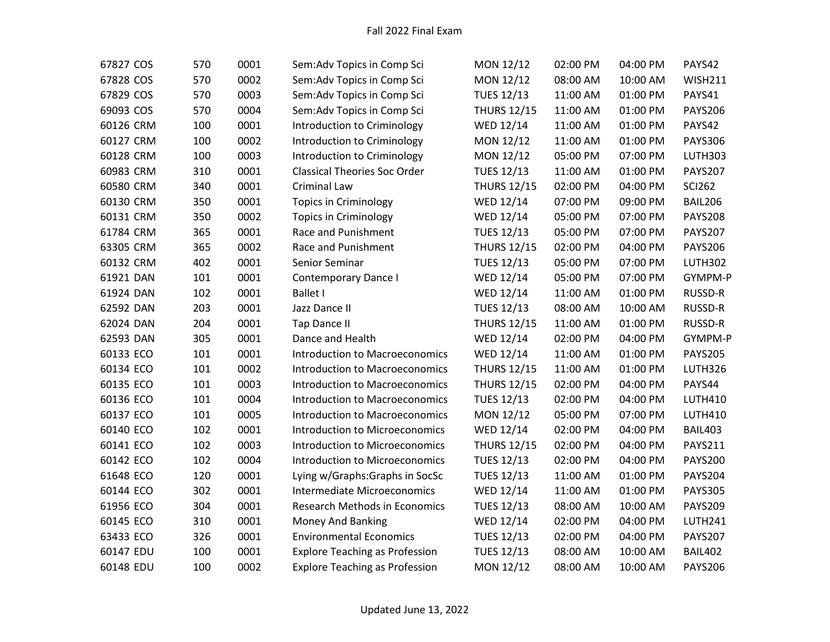| 67827 COS | 570 | 0001 | Sem: Adv Topics in Comp Sci           | MON 12/12          | 02:00 PM | 04:00 PM | PAYS42         |
|-----------|-----|------|---------------------------------------|--------------------|----------|----------|----------------|
| 67828 COS | 570 | 0002 | Sem: Adv Topics in Comp Sci           | MON 12/12          | 08:00 AM | 10:00 AM | <b>WISH211</b> |
| 67829 COS | 570 | 0003 | Sem: Adv Topics in Comp Sci           | <b>TUES 12/13</b>  | 11:00 AM | 01:00 PM | PAYS41         |
| 69093 COS | 570 | 0004 | Sem: Adv Topics in Comp Sci           | <b>THURS 12/15</b> | 11:00 AM | 01:00 PM | <b>PAYS206</b> |
| 60126 CRM | 100 | 0001 | Introduction to Criminology           | WED 12/14          | 11:00 AM | 01:00 PM | PAYS42         |
| 60127 CRM | 100 | 0002 | Introduction to Criminology           | MON 12/12          | 11:00 AM | 01:00 PM | <b>PAYS306</b> |
| 60128 CRM | 100 | 0003 | Introduction to Criminology           | MON 12/12          | 05:00 PM | 07:00 PM | LUTH303        |
| 60983 CRM | 310 | 0001 | <b>Classical Theories Soc Order</b>   | <b>TUES 12/13</b>  | 11:00 AM | 01:00 PM | <b>PAYS207</b> |
| 60580 CRM | 340 | 0001 | Criminal Law                          | <b>THURS 12/15</b> | 02:00 PM | 04:00 PM | <b>SCI262</b>  |
| 60130 CRM | 350 | 0001 | <b>Topics in Criminology</b>          | WED 12/14          | 07:00 PM | 09:00 PM | BAIL206        |
| 60131 CRM | 350 | 0002 | <b>Topics in Criminology</b>          | WED 12/14          | 05:00 PM | 07:00 PM | <b>PAYS208</b> |
| 61784 CRM | 365 | 0001 | Race and Punishment                   | <b>TUES 12/13</b>  | 05:00 PM | 07:00 PM | <b>PAYS207</b> |
| 63305 CRM | 365 | 0002 | Race and Punishment                   | <b>THURS 12/15</b> | 02:00 PM | 04:00 PM | <b>PAYS206</b> |
| 60132 CRM | 402 | 0001 | Senior Seminar                        | <b>TUES 12/13</b>  | 05:00 PM | 07:00 PM | <b>LUTH302</b> |
| 61921 DAN | 101 | 0001 | <b>Contemporary Dance I</b>           | WED 12/14          | 05:00 PM | 07:00 PM | GYMPM-P        |
| 61924 DAN | 102 | 0001 | <b>Ballet I</b>                       | WED 12/14          | 11:00 AM | 01:00 PM | RUSSD-R        |
| 62592 DAN | 203 | 0001 | Jazz Dance II                         | <b>TUES 12/13</b>  | 08:00 AM | 10:00 AM | RUSSD-R        |
| 62024 DAN | 204 | 0001 | <b>Tap Dance II</b>                   | <b>THURS 12/15</b> | 11:00 AM | 01:00 PM | RUSSD-R        |
| 62593 DAN | 305 | 0001 | Dance and Health                      | WED 12/14          | 02:00 PM | 04:00 PM | GYMPM-P        |
| 60133 ECO | 101 | 0001 | Introduction to Macroeconomics        | WED 12/14          | 11:00 AM | 01:00 PM | <b>PAYS205</b> |
| 60134 ECO | 101 | 0002 | <b>Introduction to Macroeconomics</b> | <b>THURS 12/15</b> | 11:00 AM | 01:00 PM | <b>LUTH326</b> |
| 60135 ECO | 101 | 0003 | Introduction to Macroeconomics        | <b>THURS 12/15</b> | 02:00 PM | 04:00 PM | PAYS44         |
| 60136 ECO | 101 | 0004 | Introduction to Macroeconomics        | <b>TUES 12/13</b>  | 02:00 PM | 04:00 PM | <b>LUTH410</b> |
| 60137 ECO | 101 | 0005 | Introduction to Macroeconomics        | MON 12/12          | 05:00 PM | 07:00 PM | <b>LUTH410</b> |
| 60140 ECO | 102 | 0001 | <b>Introduction to Microeconomics</b> | WED 12/14          | 02:00 PM | 04:00 PM | <b>BAIL403</b> |
| 60141 ECO | 102 | 0003 | Introduction to Microeconomics        | <b>THURS 12/15</b> | 02:00 PM | 04:00 PM | <b>PAYS211</b> |
| 60142 ECO | 102 | 0004 | Introduction to Microeconomics        | <b>TUES 12/13</b>  | 02:00 PM | 04:00 PM | <b>PAYS200</b> |
| 61648 ECO | 120 | 0001 | Lying w/Graphs: Graphs in SocSc       | <b>TUES 12/13</b>  | 11:00 AM | 01:00 PM | <b>PAYS204</b> |
| 60144 ECO | 302 | 0001 | Intermediate Microeconomics           | WED 12/14          | 11:00 AM | 01:00 PM | <b>PAYS305</b> |
| 61956 ECO | 304 | 0001 | Research Methods in Economics         | <b>TUES 12/13</b>  | 08:00 AM | 10:00 AM | <b>PAYS209</b> |
| 60145 ECO | 310 | 0001 | <b>Money And Banking</b>              | WED 12/14          | 02:00 PM | 04:00 PM | <b>LUTH241</b> |
| 63433 ECO | 326 | 0001 | <b>Environmental Economics</b>        | <b>TUES 12/13</b>  | 02:00 PM | 04:00 PM | <b>PAYS207</b> |
| 60147 EDU | 100 | 0001 | <b>Explore Teaching as Profession</b> | <b>TUES 12/13</b>  | 08:00 AM | 10:00 AM | <b>BAIL402</b> |
| 60148 EDU | 100 | 0002 | <b>Explore Teaching as Profession</b> | MON 12/12          | 08:00 AM | 10:00 AM | <b>PAYS206</b> |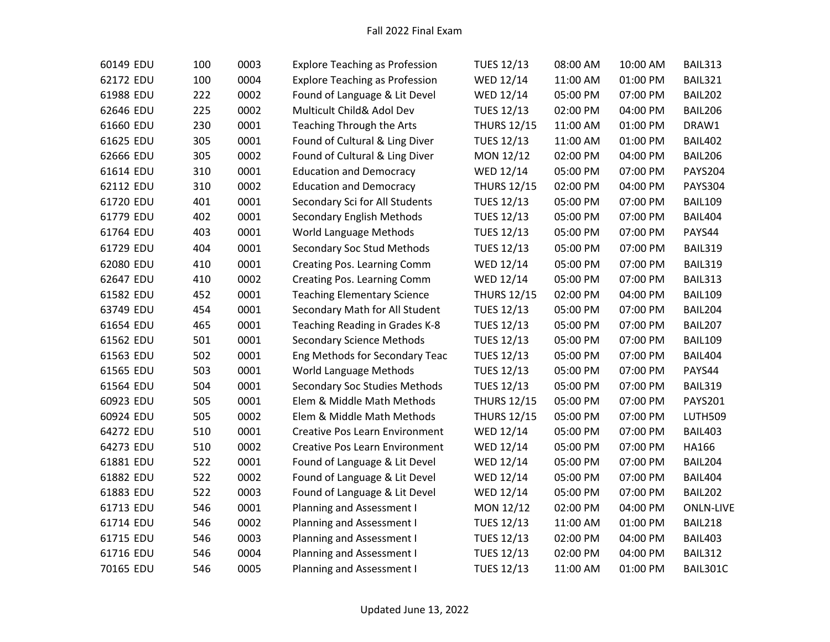| 60149 EDU | 100 | 0003 | <b>Explore Teaching as Profession</b> | <b>TUES 12/13</b>  | 08:00 AM | 10:00 AM | BAIL313          |
|-----------|-----|------|---------------------------------------|--------------------|----------|----------|------------------|
| 62172 EDU | 100 | 0004 | <b>Explore Teaching as Profession</b> | <b>WED 12/14</b>   | 11:00 AM | 01:00 PM | BAIL321          |
| 61988 EDU | 222 | 0002 | Found of Language & Lit Devel         | WED 12/14          | 05:00 PM | 07:00 PM | BAIL202          |
| 62646 EDU | 225 | 0002 | Multicult Child& Adol Dev             | <b>TUES 12/13</b>  | 02:00 PM | 04:00 PM | <b>BAIL206</b>   |
| 61660 EDU | 230 | 0001 | Teaching Through the Arts             | <b>THURS 12/15</b> | 11:00 AM | 01:00 PM | DRAW1            |
| 61625 EDU | 305 | 0001 | Found of Cultural & Ling Diver        | <b>TUES 12/13</b>  | 11:00 AM | 01:00 PM | <b>BAIL402</b>   |
| 62666 EDU | 305 | 0002 | Found of Cultural & Ling Diver        | MON 12/12          | 02:00 PM | 04:00 PM | BAIL206          |
| 61614 EDU | 310 | 0001 | <b>Education and Democracy</b>        | WED 12/14          | 05:00 PM | 07:00 PM | <b>PAYS204</b>   |
| 62112 EDU | 310 | 0002 | <b>Education and Democracy</b>        | <b>THURS 12/15</b> | 02:00 PM | 04:00 PM | <b>PAYS304</b>   |
| 61720 EDU | 401 | 0001 | Secondary Sci for All Students        | <b>TUES 12/13</b>  | 05:00 PM | 07:00 PM | <b>BAIL109</b>   |
| 61779 EDU | 402 | 0001 | Secondary English Methods             | <b>TUES 12/13</b>  | 05:00 PM | 07:00 PM | BAIL404          |
| 61764 EDU | 403 | 0001 | World Language Methods                | <b>TUES 12/13</b>  | 05:00 PM | 07:00 PM | PAYS44           |
| 61729 EDU | 404 | 0001 | Secondary Soc Stud Methods            | <b>TUES 12/13</b>  | 05:00 PM | 07:00 PM | BAIL319          |
| 62080 EDU | 410 | 0001 | Creating Pos. Learning Comm           | WED 12/14          | 05:00 PM | 07:00 PM | BAIL319          |
| 62647 EDU | 410 | 0002 | Creating Pos. Learning Comm           | WED 12/14          | 05:00 PM | 07:00 PM | BAIL313          |
| 61582 EDU | 452 | 0001 | <b>Teaching Elementary Science</b>    | <b>THURS 12/15</b> | 02:00 PM | 04:00 PM | <b>BAIL109</b>   |
| 63749 EDU | 454 | 0001 | Secondary Math for All Student        | <b>TUES 12/13</b>  | 05:00 PM | 07:00 PM | BAIL204          |
| 61654 EDU | 465 | 0001 | Teaching Reading in Grades K-8        | <b>TUES 12/13</b>  | 05:00 PM | 07:00 PM | <b>BAIL207</b>   |
| 61562 EDU | 501 | 0001 | <b>Secondary Science Methods</b>      | <b>TUES 12/13</b>  | 05:00 PM | 07:00 PM | <b>BAIL109</b>   |
| 61563 EDU | 502 | 0001 | Eng Methods for Secondary Teac        | <b>TUES 12/13</b>  | 05:00 PM | 07:00 PM | BAIL404          |
| 61565 EDU | 503 | 0001 | World Language Methods                | <b>TUES 12/13</b>  | 05:00 PM | 07:00 PM | PAYS44           |
| 61564 EDU | 504 | 0001 | <b>Secondary Soc Studies Methods</b>  | <b>TUES 12/13</b>  | 05:00 PM | 07:00 PM | BAIL319          |
| 60923 EDU | 505 | 0001 | Elem & Middle Math Methods            | <b>THURS 12/15</b> | 05:00 PM | 07:00 PM | <b>PAYS201</b>   |
| 60924 EDU | 505 | 0002 | Elem & Middle Math Methods            | <b>THURS 12/15</b> | 05:00 PM | 07:00 PM | <b>LUTH509</b>   |
| 64272 EDU | 510 | 0001 | <b>Creative Pos Learn Environment</b> | <b>WED 12/14</b>   | 05:00 PM | 07:00 PM | <b>BAIL403</b>   |
| 64273 EDU | 510 | 0002 | <b>Creative Pos Learn Environment</b> | WED 12/14          | 05:00 PM | 07:00 PM | HA166            |
| 61881 EDU | 522 | 0001 | Found of Language & Lit Devel         | WED 12/14          | 05:00 PM | 07:00 PM | BAIL204          |
| 61882 EDU | 522 | 0002 | Found of Language & Lit Devel         | WED 12/14          | 05:00 PM | 07:00 PM | BAIL404          |
| 61883 EDU | 522 | 0003 | Found of Language & Lit Devel         | WED 12/14          | 05:00 PM | 07:00 PM | <b>BAIL202</b>   |
| 61713 EDU | 546 | 0001 | Planning and Assessment I             | MON 12/12          | 02:00 PM | 04:00 PM | <b>ONLN-LIVE</b> |
| 61714 EDU | 546 | 0002 | Planning and Assessment I             | <b>TUES 12/13</b>  | 11:00 AM | 01:00 PM | BAIL218          |
| 61715 EDU | 546 | 0003 | Planning and Assessment I             | <b>TUES 12/13</b>  | 02:00 PM | 04:00 PM | <b>BAIL403</b>   |
| 61716 EDU | 546 | 0004 | Planning and Assessment I             | <b>TUES 12/13</b>  | 02:00 PM | 04:00 PM | BAIL312          |
| 70165 EDU | 546 | 0005 | Planning and Assessment I             | <b>TUES 12/13</b>  | 11:00 AM | 01:00 PM | BAIL301C         |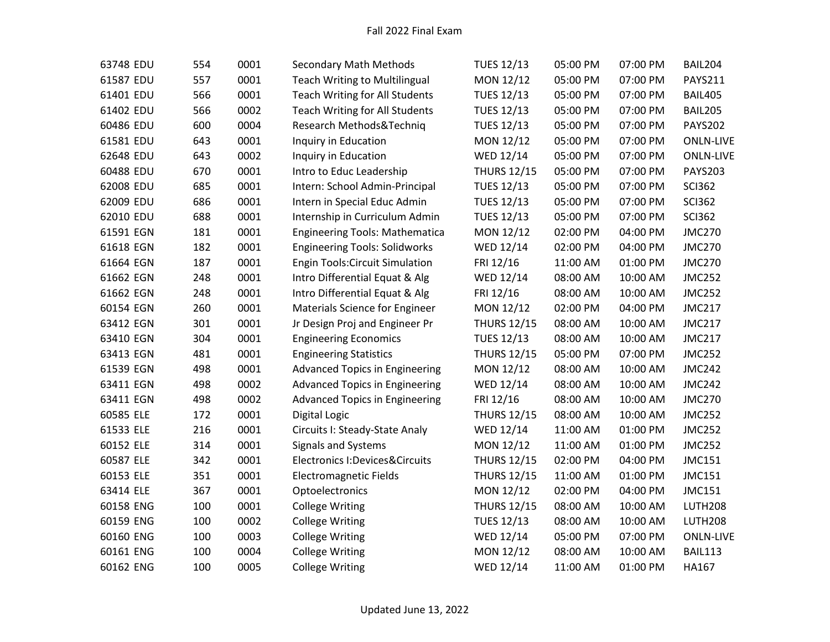| 63748 EDU | 554 | 0001 | <b>Secondary Math Methods</b>          | <b>TUES 12/13</b>  | 05:00 PM | 07:00 PM | BAIL204          |
|-----------|-----|------|----------------------------------------|--------------------|----------|----------|------------------|
| 61587 EDU | 557 | 0001 | <b>Teach Writing to Multilingual</b>   | MON 12/12          | 05:00 PM | 07:00 PM | <b>PAYS211</b>   |
| 61401 EDU | 566 | 0001 | <b>Teach Writing for All Students</b>  | <b>TUES 12/13</b>  | 05:00 PM | 07:00 PM | <b>BAIL405</b>   |
| 61402 EDU | 566 | 0002 | <b>Teach Writing for All Students</b>  | <b>TUES 12/13</b>  | 05:00 PM | 07:00 PM | BAIL205          |
| 60486 EDU | 600 | 0004 | Research Methods&Techniq               | <b>TUES 12/13</b>  | 05:00 PM | 07:00 PM | <b>PAYS202</b>   |
| 61581 EDU | 643 | 0001 | Inquiry in Education                   | MON 12/12          | 05:00 PM | 07:00 PM | <b>ONLN-LIVE</b> |
| 62648 EDU | 643 | 0002 | Inquiry in Education                   | WED 12/14          | 05:00 PM | 07:00 PM | <b>ONLN-LIVE</b> |
| 60488 EDU | 670 | 0001 | Intro to Educ Leadership               | <b>THURS 12/15</b> | 05:00 PM | 07:00 PM | <b>PAYS203</b>   |
| 62008 EDU | 685 | 0001 | Intern: School Admin-Principal         | <b>TUES 12/13</b>  | 05:00 PM | 07:00 PM | <b>SCI362</b>    |
| 62009 EDU | 686 | 0001 | Intern in Special Educ Admin           | <b>TUES 12/13</b>  | 05:00 PM | 07:00 PM | <b>SCI362</b>    |
| 62010 EDU | 688 | 0001 | Internship in Curriculum Admin         | <b>TUES 12/13</b>  | 05:00 PM | 07:00 PM | <b>SCI362</b>    |
| 61591 EGN | 181 | 0001 | <b>Engineering Tools: Mathematica</b>  | MON 12/12          | 02:00 PM | 04:00 PM | <b>JMC270</b>    |
| 61618 EGN | 182 | 0001 | <b>Engineering Tools: Solidworks</b>   | WED 12/14          | 02:00 PM | 04:00 PM | <b>JMC270</b>    |
| 61664 EGN | 187 | 0001 | <b>Engin Tools: Circuit Simulation</b> | FRI 12/16          | 11:00 AM | 01:00 PM | <b>JMC270</b>    |
| 61662 EGN | 248 | 0001 | Intro Differential Equat & Alg         | WED 12/14          | 08:00 AM | 10:00 AM | <b>JMC252</b>    |
| 61662 EGN | 248 | 0001 | Intro Differential Equat & Alg         | FRI 12/16          | 08:00 AM | 10:00 AM | <b>JMC252</b>    |
| 60154 EGN | 260 | 0001 | Materials Science for Engineer         | MON 12/12          | 02:00 PM | 04:00 PM | <b>JMC217</b>    |
| 63412 EGN | 301 | 0001 | Jr Design Proj and Engineer Pr         | <b>THURS 12/15</b> | 08:00 AM | 10:00 AM | <b>JMC217</b>    |
| 63410 EGN | 304 | 0001 | <b>Engineering Economics</b>           | <b>TUES 12/13</b>  | 08:00 AM | 10:00 AM | <b>JMC217</b>    |
| 63413 EGN | 481 | 0001 | <b>Engineering Statistics</b>          | <b>THURS 12/15</b> | 05:00 PM | 07:00 PM | <b>JMC252</b>    |
| 61539 EGN | 498 | 0001 | <b>Advanced Topics in Engineering</b>  | MON 12/12          | 08:00 AM | 10:00 AM | <b>JMC242</b>    |
| 63411 EGN | 498 | 0002 | <b>Advanced Topics in Engineering</b>  | WED 12/14          | 08:00 AM | 10:00 AM | <b>JMC242</b>    |
| 63411 EGN | 498 | 0002 | <b>Advanced Topics in Engineering</b>  | FRI 12/16          | 08:00 AM | 10:00 AM | <b>JMC270</b>    |
| 60585 ELE | 172 | 0001 | Digital Logic                          | <b>THURS 12/15</b> | 08:00 AM | 10:00 AM | <b>JMC252</b>    |
| 61533 ELE | 216 | 0001 | Circuits I: Steady-State Analy         | WED 12/14          | 11:00 AM | 01:00 PM | <b>JMC252</b>    |
| 60152 ELE | 314 | 0001 | <b>Signals and Systems</b>             | MON 12/12          | 11:00 AM | 01:00 PM | <b>JMC252</b>    |
| 60587 ELE | 342 | 0001 | Electronics I:Devices&Circuits         | <b>THURS 12/15</b> | 02:00 PM | 04:00 PM | <b>JMC151</b>    |
| 60153 ELE | 351 | 0001 | <b>Electromagnetic Fields</b>          | <b>THURS 12/15</b> | 11:00 AM | 01:00 PM | <b>JMC151</b>    |
| 63414 ELE | 367 | 0001 | Optoelectronics                        | MON 12/12          | 02:00 PM | 04:00 PM | <b>JMC151</b>    |
| 60158 ENG | 100 | 0001 | <b>College Writing</b>                 | <b>THURS 12/15</b> | 08:00 AM | 10:00 AM | <b>LUTH208</b>   |
| 60159 ENG | 100 | 0002 | <b>College Writing</b>                 | <b>TUES 12/13</b>  | 08:00 AM | 10:00 AM | <b>LUTH208</b>   |
| 60160 ENG | 100 | 0003 | <b>College Writing</b>                 | WED 12/14          | 05:00 PM | 07:00 PM | <b>ONLN-LIVE</b> |
| 60161 ENG | 100 | 0004 | <b>College Writing</b>                 | MON 12/12          | 08:00 AM | 10:00 AM | BAIL113          |
| 60162 ENG | 100 | 0005 | <b>College Writing</b>                 | WED 12/14          | 11:00 AM | 01:00 PM | HA167            |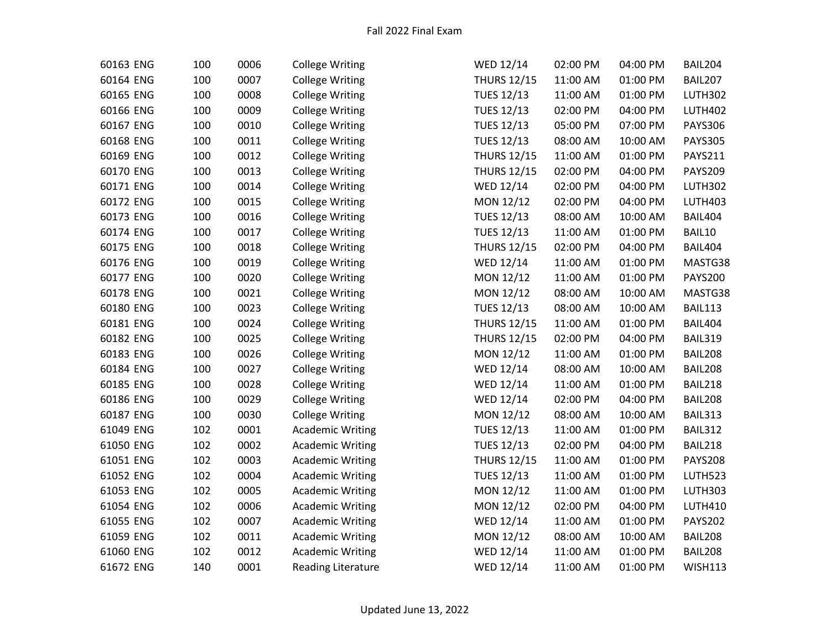| 60163 ENG | 100 | 0006 | <b>College Writing</b>    | WED 12/14          | 02:00 PM | 04:00 PM | BAIL204        |
|-----------|-----|------|---------------------------|--------------------|----------|----------|----------------|
| 60164 ENG | 100 | 0007 | <b>College Writing</b>    | <b>THURS 12/15</b> | 11:00 AM | 01:00 PM | BAIL207        |
| 60165 ENG | 100 | 0008 | <b>College Writing</b>    | <b>TUES 12/13</b>  | 11:00 AM | 01:00 PM | <b>LUTH302</b> |
| 60166 ENG | 100 | 0009 | <b>College Writing</b>    | <b>TUES 12/13</b>  | 02:00 PM | 04:00 PM | <b>LUTH402</b> |
| 60167 ENG | 100 | 0010 | <b>College Writing</b>    | <b>TUES 12/13</b>  | 05:00 PM | 07:00 PM | <b>PAYS306</b> |
| 60168 ENG | 100 | 0011 | <b>College Writing</b>    | <b>TUES 12/13</b>  | 08:00 AM | 10:00 AM | <b>PAYS305</b> |
| 60169 ENG | 100 | 0012 | <b>College Writing</b>    | <b>THURS 12/15</b> | 11:00 AM | 01:00 PM | <b>PAYS211</b> |
| 60170 ENG | 100 | 0013 | <b>College Writing</b>    | <b>THURS 12/15</b> | 02:00 PM | 04:00 PM | <b>PAYS209</b> |
| 60171 ENG | 100 | 0014 | <b>College Writing</b>    | WED 12/14          | 02:00 PM | 04:00 PM | <b>LUTH302</b> |
| 60172 ENG | 100 | 0015 | <b>College Writing</b>    | MON 12/12          | 02:00 PM | 04:00 PM | <b>LUTH403</b> |
| 60173 ENG | 100 | 0016 | <b>College Writing</b>    | <b>TUES 12/13</b>  | 08:00 AM | 10:00 AM | <b>BAIL404</b> |
| 60174 ENG | 100 | 0017 | <b>College Writing</b>    | <b>TUES 12/13</b>  | 11:00 AM | 01:00 PM | BAIL10         |
| 60175 ENG | 100 | 0018 | <b>College Writing</b>    | <b>THURS 12/15</b> | 02:00 PM | 04:00 PM | BAIL404        |
| 60176 ENG | 100 | 0019 | <b>College Writing</b>    | WED 12/14          | 11:00 AM | 01:00 PM | MASTG38        |
| 60177 ENG | 100 | 0020 | <b>College Writing</b>    | MON 12/12          | 11:00 AM | 01:00 PM | <b>PAYS200</b> |
| 60178 ENG | 100 | 0021 | <b>College Writing</b>    | MON 12/12          | 08:00 AM | 10:00 AM | MASTG38        |
| 60180 ENG | 100 | 0023 | <b>College Writing</b>    | <b>TUES 12/13</b>  | 08:00 AM | 10:00 AM | <b>BAIL113</b> |
| 60181 ENG | 100 | 0024 | <b>College Writing</b>    | <b>THURS 12/15</b> | 11:00 AM | 01:00 PM | <b>BAIL404</b> |
| 60182 ENG | 100 | 0025 | <b>College Writing</b>    | <b>THURS 12/15</b> | 02:00 PM | 04:00 PM | BAIL319        |
| 60183 ENG | 100 | 0026 | <b>College Writing</b>    | MON 12/12          | 11:00 AM | 01:00 PM | BAIL208        |
| 60184 ENG | 100 | 0027 | <b>College Writing</b>    | WED 12/14          | 08:00 AM | 10:00 AM | BAIL208        |
| 60185 ENG | 100 | 0028 | <b>College Writing</b>    | WED 12/14          | 11:00 AM | 01:00 PM | BAIL218        |
| 60186 ENG | 100 | 0029 | <b>College Writing</b>    | WED 12/14          | 02:00 PM | 04:00 PM | BAIL208        |
| 60187 ENG | 100 | 0030 | <b>College Writing</b>    | MON 12/12          | 08:00 AM | 10:00 AM | BAIL313        |
| 61049 ENG | 102 | 0001 | <b>Academic Writing</b>   | <b>TUES 12/13</b>  | 11:00 AM | 01:00 PM | BAIL312        |
| 61050 ENG | 102 | 0002 | <b>Academic Writing</b>   | <b>TUES 12/13</b>  | 02:00 PM | 04:00 PM | BAIL218        |
| 61051 ENG | 102 | 0003 | <b>Academic Writing</b>   | <b>THURS 12/15</b> | 11:00 AM | 01:00 PM | <b>PAYS208</b> |
| 61052 ENG | 102 | 0004 | <b>Academic Writing</b>   | <b>TUES 12/13</b>  | 11:00 AM | 01:00 PM | <b>LUTH523</b> |
| 61053 ENG | 102 | 0005 | <b>Academic Writing</b>   | MON 12/12          | 11:00 AM | 01:00 PM | <b>LUTH303</b> |
| 61054 ENG | 102 | 0006 | <b>Academic Writing</b>   | MON 12/12          | 02:00 PM | 04:00 PM | <b>LUTH410</b> |
| 61055 ENG | 102 | 0007 | <b>Academic Writing</b>   | WED 12/14          | 11:00 AM | 01:00 PM | <b>PAYS202</b> |
| 61059 ENG | 102 | 0011 | <b>Academic Writing</b>   | MON 12/12          | 08:00 AM | 10:00 AM | BAIL208        |
| 61060 ENG | 102 | 0012 | <b>Academic Writing</b>   | <b>WED 12/14</b>   | 11:00 AM | 01:00 PM | BAIL208        |
| 61672 ENG | 140 | 0001 | <b>Reading Literature</b> | WED 12/14          | 11:00 AM | 01:00 PM | <b>WISH113</b> |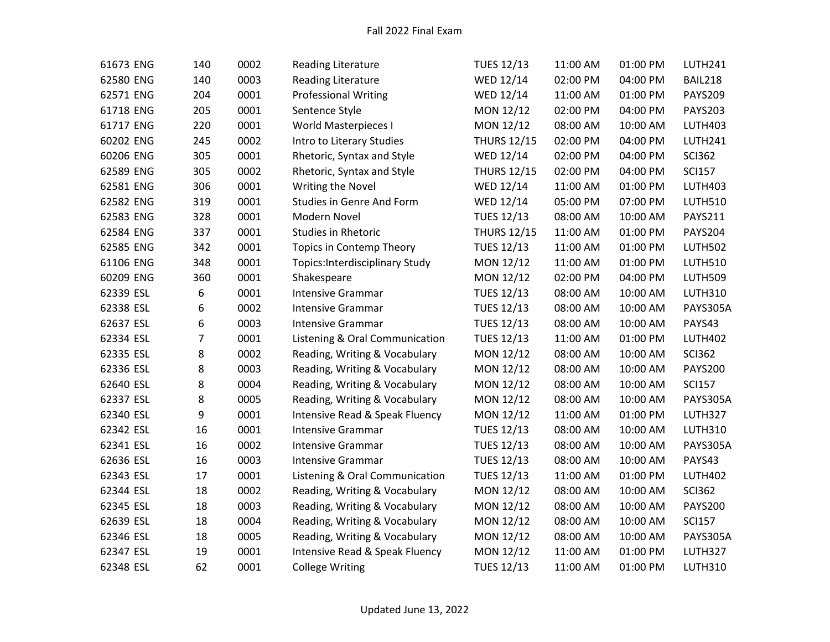| 61673 ENG | 140 | 0002 | <b>Reading Literature</b>       | <b>TUES 12/13</b>  | 11:00 AM | 01:00 PM | <b>LUTH241</b> |
|-----------|-----|------|---------------------------------|--------------------|----------|----------|----------------|
| 62580 ENG | 140 | 0003 | <b>Reading Literature</b>       | WED 12/14          | 02:00 PM | 04:00 PM | BAIL218        |
| 62571 ENG | 204 | 0001 | <b>Professional Writing</b>     | WED 12/14          | 11:00 AM | 01:00 PM | <b>PAYS209</b> |
| 61718 ENG | 205 | 0001 | Sentence Style                  | MON 12/12          | 02:00 PM | 04:00 PM | <b>PAYS203</b> |
| 61717 ENG | 220 | 0001 | World Masterpieces I            | MON 12/12          | 08:00 AM | 10:00 AM | <b>LUTH403</b> |
| 60202 ENG | 245 | 0002 | Intro to Literary Studies       | <b>THURS 12/15</b> | 02:00 PM | 04:00 PM | <b>LUTH241</b> |
| 60206 ENG | 305 | 0001 | Rhetoric, Syntax and Style      | WED 12/14          | 02:00 PM | 04:00 PM | <b>SCI362</b>  |
| 62589 ENG | 305 | 0002 | Rhetoric, Syntax and Style      | <b>THURS 12/15</b> | 02:00 PM | 04:00 PM | <b>SCI157</b>  |
| 62581 ENG | 306 | 0001 | Writing the Novel               | WED 12/14          | 11:00 AM | 01:00 PM | <b>LUTH403</b> |
| 62582 ENG | 319 | 0001 | Studies in Genre And Form       | WED 12/14          | 05:00 PM | 07:00 PM | <b>LUTH510</b> |
| 62583 ENG | 328 | 0001 | Modern Novel                    | <b>TUES 12/13</b>  | 08:00 AM | 10:00 AM | <b>PAYS211</b> |
| 62584 ENG | 337 | 0001 | <b>Studies in Rhetoric</b>      | <b>THURS 12/15</b> | 11:00 AM | 01:00 PM | <b>PAYS204</b> |
| 62585 ENG | 342 | 0001 | <b>Topics in Contemp Theory</b> | <b>TUES 12/13</b>  | 11:00 AM | 01:00 PM | <b>LUTH502</b> |
| 61106 ENG | 348 | 0001 | Topics: Interdisciplinary Study | MON 12/12          | 11:00 AM | 01:00 PM | <b>LUTH510</b> |
| 60209 ENG | 360 | 0001 | Shakespeare                     | MON 12/12          | 02:00 PM | 04:00 PM | <b>LUTH509</b> |
| 62339 ESL | 6   | 0001 | Intensive Grammar               | <b>TUES 12/13</b>  | 08:00 AM | 10:00 AM | <b>LUTH310</b> |
| 62338 ESL | 6   | 0002 | <b>Intensive Grammar</b>        | <b>TUES 12/13</b>  | 08:00 AM | 10:00 AM | PAYS305A       |
| 62637 ESL | 6   | 0003 | <b>Intensive Grammar</b>        | <b>TUES 12/13</b>  | 08:00 AM | 10:00 AM | PAYS43         |
| 62334 ESL | 7   | 0001 | Listening & Oral Communication  | <b>TUES 12/13</b>  | 11:00 AM | 01:00 PM | <b>LUTH402</b> |
| 62335 ESL | 8   | 0002 | Reading, Writing & Vocabulary   | MON 12/12          | 08:00 AM | 10:00 AM | <b>SCI362</b>  |
| 62336 ESL | 8   | 0003 | Reading, Writing & Vocabulary   | MON 12/12          | 08:00 AM | 10:00 AM | <b>PAYS200</b> |
| 62640 ESL | 8   | 0004 | Reading, Writing & Vocabulary   | MON 12/12          | 08:00 AM | 10:00 AM | <b>SCI157</b>  |
| 62337 ESL | 8   | 0005 | Reading, Writing & Vocabulary   | MON 12/12          | 08:00 AM | 10:00 AM | PAYS305A       |
| 62340 ESL | 9   | 0001 | Intensive Read & Speak Fluency  | MON 12/12          | 11:00 AM | 01:00 PM | <b>LUTH327</b> |
| 62342 ESL | 16  | 0001 | <b>Intensive Grammar</b>        | <b>TUES 12/13</b>  | 08:00 AM | 10:00 AM | <b>LUTH310</b> |
| 62341 ESL | 16  | 0002 | <b>Intensive Grammar</b>        | <b>TUES 12/13</b>  | 08:00 AM | 10:00 AM | PAYS305A       |
| 62636 ESL | 16  | 0003 | <b>Intensive Grammar</b>        | <b>TUES 12/13</b>  | 08:00 AM | 10:00 AM | PAYS43         |
| 62343 ESL | 17  | 0001 | Listening & Oral Communication  | <b>TUES 12/13</b>  | 11:00 AM | 01:00 PM | <b>LUTH402</b> |
| 62344 ESL | 18  | 0002 | Reading, Writing & Vocabulary   | MON 12/12          | 08:00 AM | 10:00 AM | <b>SCI362</b>  |
| 62345 ESL | 18  | 0003 | Reading, Writing & Vocabulary   | MON 12/12          | 08:00 AM | 10:00 AM | <b>PAYS200</b> |
| 62639 ESL | 18  | 0004 | Reading, Writing & Vocabulary   | MON 12/12          | 08:00 AM | 10:00 AM | <b>SCI157</b>  |
| 62346 ESL | 18  | 0005 | Reading, Writing & Vocabulary   | MON 12/12          | 08:00 AM | 10:00 AM | PAYS305A       |
| 62347 ESL | 19  | 0001 | Intensive Read & Speak Fluency  | MON 12/12          | 11:00 AM | 01:00 PM | LUTH327        |
| 62348 ESL | 62  | 0001 | <b>College Writing</b>          | <b>TUES 12/13</b>  | 11:00 AM | 01:00 PM | <b>LUTH310</b> |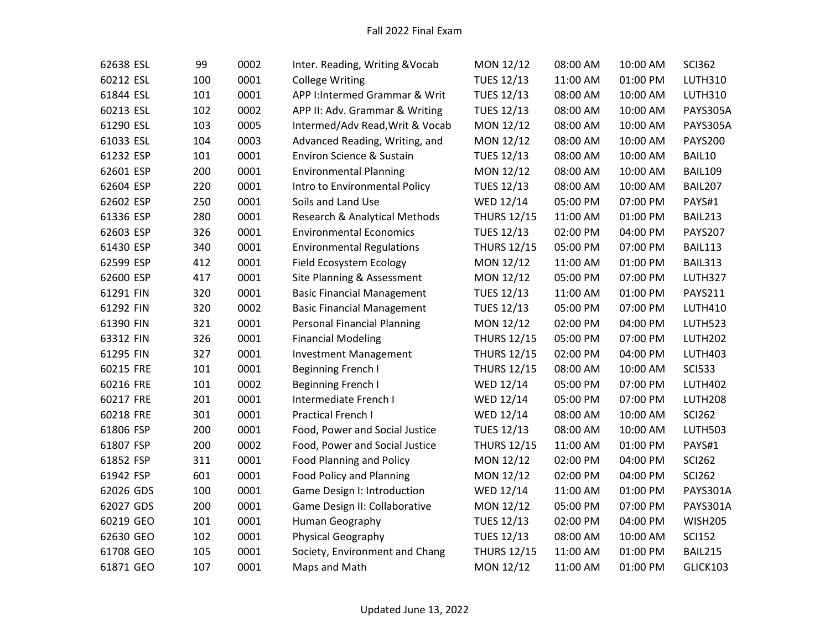| 62638 ESL | 99  | 0002 | Inter. Reading, Writing & Vocab      | MON 12/12          | 08:00 AM | 10:00 AM | <b>SCI362</b>  |
|-----------|-----|------|--------------------------------------|--------------------|----------|----------|----------------|
| 60212 ESL | 100 | 0001 | <b>College Writing</b>               | <b>TUES 12/13</b>  | 11:00 AM | 01:00 PM | <b>LUTH310</b> |
| 61844 ESL | 101 | 0001 | APP I:Intermed Grammar & Writ        | <b>TUES 12/13</b>  | 08:00 AM | 10:00 AM | <b>LUTH310</b> |
| 60213 ESL | 102 | 0002 | APP II: Adv. Grammar & Writing       | <b>TUES 12/13</b>  | 08:00 AM | 10:00 AM | PAYS305A       |
| 61290 ESL | 103 | 0005 | Intermed/Adv Read, Writ & Vocab      | MON 12/12          | 08:00 AM | 10:00 AM | PAYS305A       |
| 61033 ESL | 104 | 0003 | Advanced Reading, Writing, and       | MON 12/12          | 08:00 AM | 10:00 AM | <b>PAYS200</b> |
| 61232 ESP | 101 | 0001 | <b>Environ Science &amp; Sustain</b> | <b>TUES 12/13</b>  | 08:00 AM | 10:00 AM | BAIL10         |
| 62601 ESP | 200 | 0001 | <b>Environmental Planning</b>        | MON 12/12          | 08:00 AM | 10:00 AM | <b>BAIL109</b> |
| 62604 ESP | 220 | 0001 | Intro to Environmental Policy        | <b>TUES 12/13</b>  | 08:00 AM | 10:00 AM | BAIL207        |
| 62602 ESP | 250 | 0001 | Soils and Land Use                   | WED 12/14          | 05:00 PM | 07:00 PM | PAYS#1         |
| 61336 ESP | 280 | 0001 | Research & Analytical Methods        | <b>THURS 12/15</b> | 11:00 AM | 01:00 PM | BAIL213        |
| 62603 ESP | 326 | 0001 | <b>Environmental Economics</b>       | <b>TUES 12/13</b>  | 02:00 PM | 04:00 PM | <b>PAYS207</b> |
| 61430 ESP | 340 | 0001 | <b>Environmental Regulations</b>     | <b>THURS 12/15</b> | 05:00 PM | 07:00 PM | <b>BAIL113</b> |
| 62599 ESP | 412 | 0001 | Field Ecosystem Ecology              | MON 12/12          | 11:00 AM | 01:00 PM | BAIL313        |
| 62600 ESP | 417 | 0001 | Site Planning & Assessment           | MON 12/12          | 05:00 PM | 07:00 PM | LUTH327        |
| 61291 FIN | 320 | 0001 | <b>Basic Financial Management</b>    | <b>TUES 12/13</b>  | 11:00 AM | 01:00 PM | <b>PAYS211</b> |
| 61292 FIN | 320 | 0002 | <b>Basic Financial Management</b>    | <b>TUES 12/13</b>  | 05:00 PM | 07:00 PM | <b>LUTH410</b> |
| 61390 FIN | 321 | 0001 | <b>Personal Financial Planning</b>   | MON 12/12          | 02:00 PM | 04:00 PM | <b>LUTH523</b> |
| 63312 FIN | 326 | 0001 | <b>Financial Modeling</b>            | <b>THURS 12/15</b> | 05:00 PM | 07:00 PM | <b>LUTH202</b> |
| 61295 FIN | 327 | 0001 | <b>Investment Management</b>         | <b>THURS 12/15</b> | 02:00 PM | 04:00 PM | <b>LUTH403</b> |
| 60215 FRE | 101 | 0001 | Beginning French I                   | <b>THURS 12/15</b> | 08:00 AM | 10:00 AM | <b>SCI533</b>  |
| 60216 FRE | 101 | 0002 | Beginning French I                   | WED 12/14          | 05:00 PM | 07:00 PM | <b>LUTH402</b> |
| 60217 FRE | 201 | 0001 | Intermediate French I                | WED 12/14          | 05:00 PM | 07:00 PM | <b>LUTH208</b> |
| 60218 FRE | 301 | 0001 | <b>Practical French I</b>            | WED 12/14          | 08:00 AM | 10:00 AM | <b>SCI262</b>  |
| 61806 FSP | 200 | 0001 | Food, Power and Social Justice       | <b>TUES 12/13</b>  | 08:00 AM | 10:00 AM | LUTH503        |
| 61807 FSP | 200 | 0002 | Food, Power and Social Justice       | <b>THURS 12/15</b> | 11:00 AM | 01:00 PM | PAYS#1         |
| 61852 FSP | 311 | 0001 | <b>Food Planning and Policy</b>      | MON 12/12          | 02:00 PM | 04:00 PM | <b>SCI262</b>  |
| 61942 FSP | 601 | 0001 | <b>Food Policy and Planning</b>      | MON 12/12          | 02:00 PM | 04:00 PM | <b>SCI262</b>  |
| 62026 GDS | 100 | 0001 | Game Design I: Introduction          | WED 12/14          | 11:00 AM | 01:00 PM | PAYS301A       |
| 62027 GDS | 200 | 0001 | Game Design II: Collaborative        | MON 12/12          | 05:00 PM | 07:00 PM | PAYS301A       |
| 60219 GEO | 101 | 0001 | Human Geography                      | <b>TUES 12/13</b>  | 02:00 PM | 04:00 PM | <b>WISH205</b> |
| 62630 GEO | 102 | 0001 | <b>Physical Geography</b>            | <b>TUES 12/13</b>  | 08:00 AM | 10:00 AM | <b>SCI152</b>  |
| 61708 GEO | 105 | 0001 | Society, Environment and Chang       | <b>THURS 12/15</b> | 11:00 AM | 01:00 PM | <b>BAIL215</b> |
| 61871 GEO | 107 | 0001 | Maps and Math                        | MON 12/12          | 11:00 AM | 01:00 PM | GLICK103       |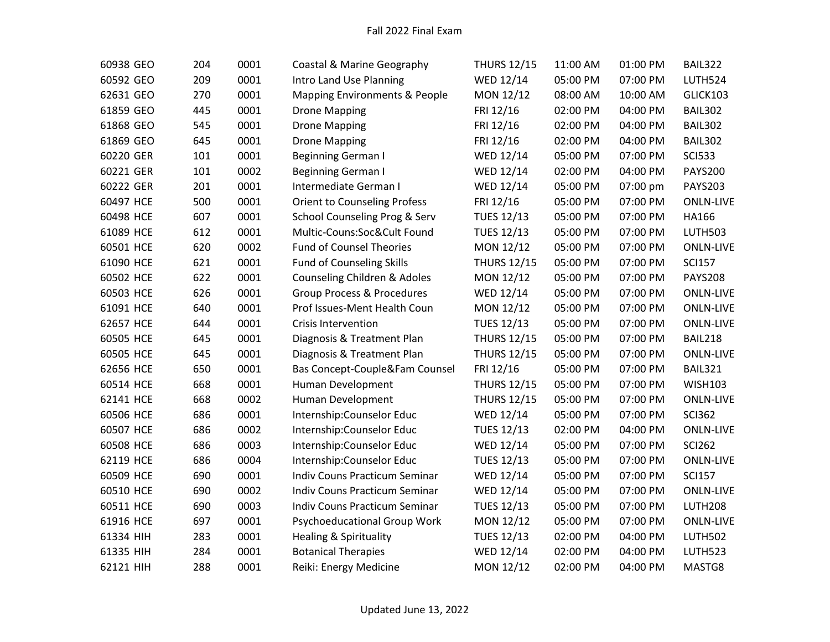| 60938 GEO | 204 | 0001 | Coastal & Marine Geography               | <b>THURS 12/15</b> | 11:00 AM | 01:00 PM | BAIL322          |
|-----------|-----|------|------------------------------------------|--------------------|----------|----------|------------------|
| 60592 GEO | 209 | 0001 | Intro Land Use Planning                  | WED 12/14          | 05:00 PM | 07:00 PM | <b>LUTH524</b>   |
| 62631 GEO | 270 | 0001 | <b>Mapping Environments &amp; People</b> | MON 12/12          | 08:00 AM | 10:00 AM | GLICK103         |
| 61859 GEO | 445 | 0001 | <b>Drone Mapping</b>                     | FRI 12/16          | 02:00 PM | 04:00 PM | BAIL302          |
| 61868 GEO | 545 | 0001 | <b>Drone Mapping</b>                     | FRI 12/16          | 02:00 PM | 04:00 PM | BAIL302          |
| 61869 GEO | 645 | 0001 | <b>Drone Mapping</b>                     | FRI 12/16          | 02:00 PM | 04:00 PM | BAIL302          |
| 60220 GER | 101 | 0001 | <b>Beginning German I</b>                | WED 12/14          | 05:00 PM | 07:00 PM | <b>SCI533</b>    |
| 60221 GER | 101 | 0002 | Beginning German I                       | WED 12/14          | 02:00 PM | 04:00 PM | <b>PAYS200</b>   |
| 60222 GER | 201 | 0001 | Intermediate German I                    | WED 12/14          | 05:00 PM | 07:00 pm | <b>PAYS203</b>   |
| 60497 HCE | 500 | 0001 | <b>Orient to Counseling Profess</b>      | FRI 12/16          | 05:00 PM | 07:00 PM | <b>ONLN-LIVE</b> |
| 60498 HCE | 607 | 0001 | School Counseling Prog & Serv            | <b>TUES 12/13</b>  | 05:00 PM | 07:00 PM | HA166            |
| 61089 HCE | 612 | 0001 | Multic-Couns:Soc&Cult Found              | <b>TUES 12/13</b>  | 05:00 PM | 07:00 PM | <b>LUTH503</b>   |
| 60501 HCE | 620 | 0002 | <b>Fund of Counsel Theories</b>          | MON 12/12          | 05:00 PM | 07:00 PM | <b>ONLN-LIVE</b> |
| 61090 HCE | 621 | 0001 | <b>Fund of Counseling Skills</b>         | <b>THURS 12/15</b> | 05:00 PM | 07:00 PM | <b>SCI157</b>    |
| 60502 HCE | 622 | 0001 | Counseling Children & Adoles             | MON 12/12          | 05:00 PM | 07:00 PM | <b>PAYS208</b>   |
| 60503 HCE | 626 | 0001 | Group Process & Procedures               | WED 12/14          | 05:00 PM | 07:00 PM | <b>ONLN-LIVE</b> |
| 61091 HCE | 640 | 0001 | Prof Issues-Ment Health Coun             | MON 12/12          | 05:00 PM | 07:00 PM | <b>ONLN-LIVE</b> |
| 62657 HCE | 644 | 0001 | <b>Crisis Intervention</b>               | <b>TUES 12/13</b>  | 05:00 PM | 07:00 PM | <b>ONLN-LIVE</b> |
| 60505 HCE | 645 | 0001 | Diagnosis & Treatment Plan               | <b>THURS 12/15</b> | 05:00 PM | 07:00 PM | BAIL218          |
| 60505 HCE | 645 | 0001 | Diagnosis & Treatment Plan               | <b>THURS 12/15</b> | 05:00 PM | 07:00 PM | <b>ONLN-LIVE</b> |
| 62656 HCE | 650 | 0001 | Bas Concept-Couple&Fam Counsel           | FRI 12/16          | 05:00 PM | 07:00 PM | BAIL321          |
| 60514 HCE | 668 | 0001 | Human Development                        | <b>THURS 12/15</b> | 05:00 PM | 07:00 PM | <b>WISH103</b>   |
| 62141 HCE | 668 | 0002 | Human Development                        | <b>THURS 12/15</b> | 05:00 PM | 07:00 PM | <b>ONLN-LIVE</b> |
| 60506 HCE | 686 | 0001 | Internship: Counselor Educ               | WED 12/14          | 05:00 PM | 07:00 PM | <b>SCI362</b>    |
| 60507 HCE | 686 | 0002 | Internship:Counselor Educ                | <b>TUES 12/13</b>  | 02:00 PM | 04:00 PM | <b>ONLN-LIVE</b> |
| 60508 HCE | 686 | 0003 | Internship: Counselor Educ               | WED 12/14          | 05:00 PM | 07:00 PM | <b>SCI262</b>    |
| 62119 HCE | 686 | 0004 | Internship: Counselor Educ               | <b>TUES 12/13</b>  | 05:00 PM | 07:00 PM | <b>ONLN-LIVE</b> |
| 60509 HCE | 690 | 0001 | <b>Indiv Couns Practicum Seminar</b>     | WED 12/14          | 05:00 PM | 07:00 PM | <b>SCI157</b>    |
| 60510 HCE | 690 | 0002 | <b>Indiv Couns Practicum Seminar</b>     | WED 12/14          | 05:00 PM | 07:00 PM | <b>ONLN-LIVE</b> |
| 60511 HCE | 690 | 0003 | Indiv Couns Practicum Seminar            | <b>TUES 12/13</b>  | 05:00 PM | 07:00 PM | <b>LUTH208</b>   |
| 61916 HCE | 697 | 0001 | Psychoeducational Group Work             | MON 12/12          | 05:00 PM | 07:00 PM | <b>ONLN-LIVE</b> |
| 61334 HIH | 283 | 0001 | <b>Healing &amp; Spirituality</b>        | <b>TUES 12/13</b>  | 02:00 PM | 04:00 PM | <b>LUTH502</b>   |
| 61335 HIH | 284 | 0001 | <b>Botanical Therapies</b>               | WED 12/14          | 02:00 PM | 04:00 PM | <b>LUTH523</b>   |
| 62121 HIH | 288 | 0001 | Reiki: Energy Medicine                   | MON 12/12          | 02:00 PM | 04:00 PM | MASTG8           |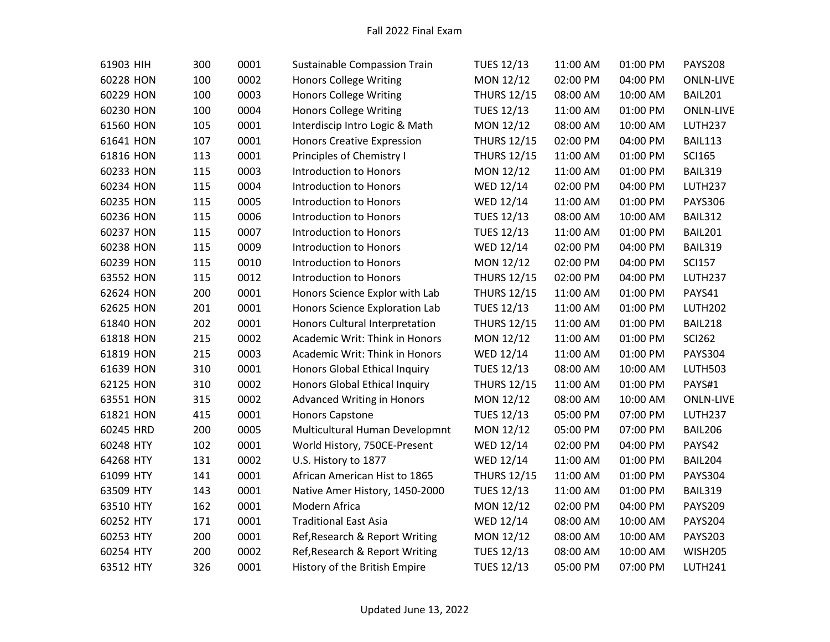| 61903 HIH | 300 | 0001 | Sustainable Compassion Train      | <b>TUES 12/13</b>  | 11:00 AM | 01:00 PM | <b>PAYS208</b>   |
|-----------|-----|------|-----------------------------------|--------------------|----------|----------|------------------|
| 60228 HON | 100 | 0002 | <b>Honors College Writing</b>     | MON 12/12          | 02:00 PM | 04:00 PM | <b>ONLN-LIVE</b> |
| 60229 HON | 100 | 0003 | <b>Honors College Writing</b>     | <b>THURS 12/15</b> | 08:00 AM | 10:00 AM | BAIL201          |
| 60230 HON | 100 | 0004 | <b>Honors College Writing</b>     | <b>TUES 12/13</b>  | 11:00 AM | 01:00 PM | <b>ONLN-LIVE</b> |
| 61560 HON | 105 | 0001 | Interdiscip Intro Logic & Math    | MON 12/12          | 08:00 AM | 10:00 AM | <b>LUTH237</b>   |
| 61641 HON | 107 | 0001 | <b>Honors Creative Expression</b> | <b>THURS 12/15</b> | 02:00 PM | 04:00 PM | <b>BAIL113</b>   |
| 61816 HON | 113 | 0001 | Principles of Chemistry I         | <b>THURS 12/15</b> | 11:00 AM | 01:00 PM | <b>SCI165</b>    |
| 60233 HON | 115 | 0003 | <b>Introduction to Honors</b>     | MON 12/12          | 11:00 AM | 01:00 PM | <b>BAIL319</b>   |
| 60234 HON | 115 | 0004 | <b>Introduction to Honors</b>     | WED 12/14          | 02:00 PM | 04:00 PM | <b>LUTH237</b>   |
| 60235 HON | 115 | 0005 | Introduction to Honors            | WED 12/14          | 11:00 AM | 01:00 PM | <b>PAYS306</b>   |
| 60236 HON | 115 | 0006 | <b>Introduction to Honors</b>     | <b>TUES 12/13</b>  | 08:00 AM | 10:00 AM | <b>BAIL312</b>   |
| 60237 HON | 115 | 0007 | <b>Introduction to Honors</b>     | <b>TUES 12/13</b>  | 11:00 AM | 01:00 PM | <b>BAIL201</b>   |
| 60238 HON | 115 | 0009 | <b>Introduction to Honors</b>     | WED 12/14          | 02:00 PM | 04:00 PM | BAIL319          |
| 60239 HON | 115 | 0010 | <b>Introduction to Honors</b>     | MON 12/12          | 02:00 PM | 04:00 PM | <b>SCI157</b>    |
| 63552 HON | 115 | 0012 | Introduction to Honors            | <b>THURS 12/15</b> | 02:00 PM | 04:00 PM | <b>LUTH237</b>   |
| 62624 HON | 200 | 0001 | Honors Science Explor with Lab    | <b>THURS 12/15</b> | 11:00 AM | 01:00 PM | PAYS41           |
| 62625 HON | 201 | 0001 | Honors Science Exploration Lab    | <b>TUES 12/13</b>  | 11:00 AM | 01:00 PM | <b>LUTH202</b>   |
| 61840 HON | 202 | 0001 | Honors Cultural Interpretation    | <b>THURS 12/15</b> | 11:00 AM | 01:00 PM | <b>BAIL218</b>   |
| 61818 HON | 215 | 0002 | Academic Writ: Think in Honors    | MON 12/12          | 11:00 AM | 01:00 PM | <b>SCI262</b>    |
| 61819 HON | 215 | 0003 | Academic Writ: Think in Honors    | WED 12/14          | 11:00 AM | 01:00 PM | <b>PAYS304</b>   |
| 61639 HON | 310 | 0001 | Honors Global Ethical Inquiry     | <b>TUES 12/13</b>  | 08:00 AM | 10:00 AM | <b>LUTH503</b>   |
| 62125 HON | 310 | 0002 | Honors Global Ethical Inquiry     | <b>THURS 12/15</b> | 11:00 AM | 01:00 PM | PAYS#1           |
| 63551 HON | 315 | 0002 | <b>Advanced Writing in Honors</b> | MON 12/12          | 08:00 AM | 10:00 AM | <b>ONLN-LIVE</b> |
| 61821 HON | 415 | 0001 | <b>Honors Capstone</b>            | <b>TUES 12/13</b>  | 05:00 PM | 07:00 PM | LUTH237          |
| 60245 HRD | 200 | 0005 | Multicultural Human Developmnt    | MON 12/12          | 05:00 PM | 07:00 PM | <b>BAIL206</b>   |
| 60248 HTY | 102 | 0001 | World History, 750CE-Present      | WED 12/14          | 02:00 PM | 04:00 PM | PAYS42           |
| 64268 HTY | 131 | 0002 | U.S. History to 1877              | WED 12/14          | 11:00 AM | 01:00 PM | BAIL204          |
| 61099 HTY | 141 | 0001 | African American Hist to 1865     | <b>THURS 12/15</b> | 11:00 AM | 01:00 PM | <b>PAYS304</b>   |
| 63509 HTY | 143 | 0001 | Native Amer History, 1450-2000    | <b>TUES 12/13</b>  | 11:00 AM | 01:00 PM | <b>BAIL319</b>   |
| 63510 HTY | 162 | 0001 | Modern Africa                     | MON 12/12          | 02:00 PM | 04:00 PM | <b>PAYS209</b>   |
| 60252 HTY | 171 | 0001 | <b>Traditional East Asia</b>      | WED 12/14          | 08:00 AM | 10:00 AM | <b>PAYS204</b>   |
| 60253 HTY | 200 | 0001 | Ref, Research & Report Writing    | MON 12/12          | 08:00 AM | 10:00 AM | <b>PAYS203</b>   |
| 60254 HTY | 200 | 0002 | Ref, Research & Report Writing    | <b>TUES 12/13</b>  | 08:00 AM | 10:00 AM | <b>WISH205</b>   |
| 63512 HTY | 326 | 0001 | History of the British Empire     | <b>TUES 12/13</b>  | 05:00 PM | 07:00 PM | <b>LUTH241</b>   |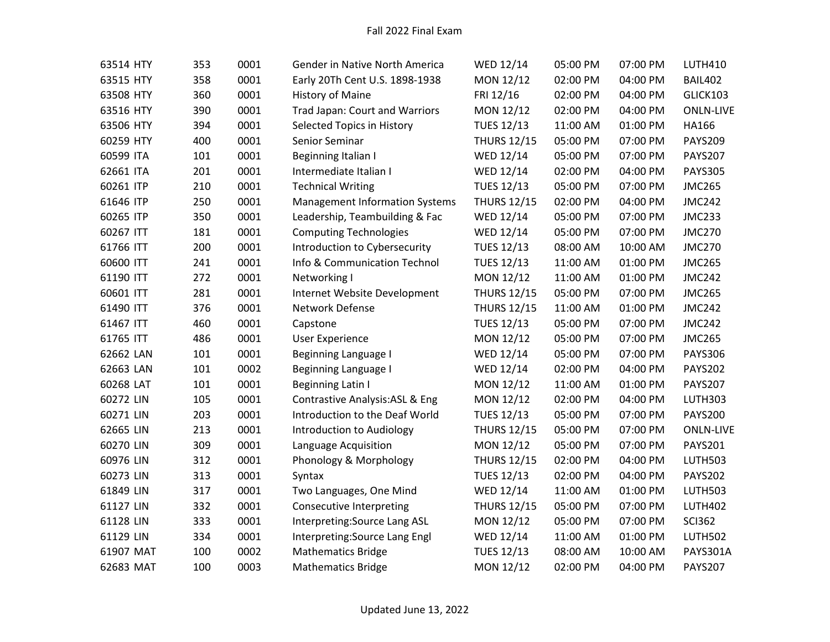| 63514 HTY | 353 | 0001 | Gender in Native North America        | WED 12/14          | 05:00 PM | 07:00 PM | <b>LUTH410</b>   |
|-----------|-----|------|---------------------------------------|--------------------|----------|----------|------------------|
| 63515 HTY | 358 | 0001 | Early 20Th Cent U.S. 1898-1938        | MON 12/12          | 02:00 PM | 04:00 PM | <b>BAIL402</b>   |
| 63508 HTY | 360 | 0001 | <b>History of Maine</b>               | FRI 12/16          | 02:00 PM | 04:00 PM | GLICK103         |
| 63516 HTY | 390 | 0001 | <b>Trad Japan: Court and Warriors</b> | MON 12/12          | 02:00 PM | 04:00 PM | <b>ONLN-LIVE</b> |
| 63506 HTY | 394 | 0001 | Selected Topics in History            | <b>TUES 12/13</b>  | 11:00 AM | 01:00 PM | HA166            |
| 60259 HTY | 400 | 0001 | Senior Seminar                        | <b>THURS 12/15</b> | 05:00 PM | 07:00 PM | <b>PAYS209</b>   |
| 60599 ITA | 101 | 0001 | Beginning Italian I                   | WED 12/14          | 05:00 PM | 07:00 PM | <b>PAYS207</b>   |
| 62661 ITA | 201 | 0001 | Intermediate Italian I                | WED 12/14          | 02:00 PM | 04:00 PM | <b>PAYS305</b>   |
| 60261 ITP | 210 | 0001 | <b>Technical Writing</b>              | <b>TUES 12/13</b>  | 05:00 PM | 07:00 PM | <b>JMC265</b>    |
| 61646 ITP | 250 | 0001 | <b>Management Information Systems</b> | <b>THURS 12/15</b> | 02:00 PM | 04:00 PM | <b>JMC242</b>    |
| 60265 ITP | 350 | 0001 | Leadership, Teambuilding & Fac        | WED 12/14          | 05:00 PM | 07:00 PM | <b>JMC233</b>    |
| 60267 ITT | 181 | 0001 | <b>Computing Technologies</b>         | WED 12/14          | 05:00 PM | 07:00 PM | <b>JMC270</b>    |
| 61766 ITT | 200 | 0001 | Introduction to Cybersecurity         | <b>TUES 12/13</b>  | 08:00 AM | 10:00 AM | <b>JMC270</b>    |
| 60600 ITT | 241 | 0001 | Info & Communication Technol          | <b>TUES 12/13</b>  | 11:00 AM | 01:00 PM | <b>JMC265</b>    |
| 61190 ITT | 272 | 0001 | Networking I                          | MON 12/12          | 11:00 AM | 01:00 PM | <b>JMC242</b>    |
| 60601 ITT | 281 | 0001 | Internet Website Development          | <b>THURS 12/15</b> | 05:00 PM | 07:00 PM | <b>JMC265</b>    |
| 61490 ITT | 376 | 0001 | Network Defense                       | <b>THURS 12/15</b> | 11:00 AM | 01:00 PM | <b>JMC242</b>    |
| 61467 ITT | 460 | 0001 | Capstone                              | <b>TUES 12/13</b>  | 05:00 PM | 07:00 PM | <b>JMC242</b>    |
| 61765 ITT | 486 | 0001 | User Experience                       | MON 12/12          | 05:00 PM | 07:00 PM | <b>JMC265</b>    |
| 62662 LAN | 101 | 0001 | Beginning Language I                  | WED 12/14          | 05:00 PM | 07:00 PM | <b>PAYS306</b>   |
| 62663 LAN | 101 | 0002 | Beginning Language I                  | WED 12/14          | 02:00 PM | 04:00 PM | <b>PAYS202</b>   |
| 60268 LAT | 101 | 0001 | Beginning Latin I                     | MON 12/12          | 11:00 AM | 01:00 PM | <b>PAYS207</b>   |
| 60272 LIN | 105 | 0001 | Contrastive Analysis: ASL & Eng       | MON 12/12          | 02:00 PM | 04:00 PM | <b>LUTH303</b>   |
| 60271 LIN | 203 | 0001 | Introduction to the Deaf World        | <b>TUES 12/13</b>  | 05:00 PM | 07:00 PM | <b>PAYS200</b>   |
| 62665 LIN | 213 | 0001 | Introduction to Audiology             | <b>THURS 12/15</b> | 05:00 PM | 07:00 PM | <b>ONLN-LIVE</b> |
| 60270 LIN | 309 | 0001 | Language Acquisition                  | MON 12/12          | 05:00 PM | 07:00 PM | <b>PAYS201</b>   |
| 60976 LIN | 312 | 0001 | Phonology & Morphology                | <b>THURS 12/15</b> | 02:00 PM | 04:00 PM | <b>LUTH503</b>   |
| 60273 LIN | 313 | 0001 | Syntax                                | <b>TUES 12/13</b>  | 02:00 PM | 04:00 PM | <b>PAYS202</b>   |
| 61849 LIN | 317 | 0001 | Two Languages, One Mind               | WED 12/14          | 11:00 AM | 01:00 PM | <b>LUTH503</b>   |
| 61127 LIN | 332 | 0001 | Consecutive Interpreting              | <b>THURS 12/15</b> | 05:00 PM | 07:00 PM | <b>LUTH402</b>   |
| 61128 LIN | 333 | 0001 | Interpreting: Source Lang ASL         | MON 12/12          | 05:00 PM | 07:00 PM | <b>SCI362</b>    |
| 61129 LIN | 334 | 0001 | Interpreting: Source Lang Engl        | WED 12/14          | 11:00 AM | 01:00 PM | <b>LUTH502</b>   |
| 61907 MAT | 100 | 0002 | <b>Mathematics Bridge</b>             | <b>TUES 12/13</b>  | 08:00 AM | 10:00 AM | PAYS301A         |
| 62683 MAT | 100 | 0003 | <b>Mathematics Bridge</b>             | MON 12/12          | 02:00 PM | 04:00 PM | <b>PAYS207</b>   |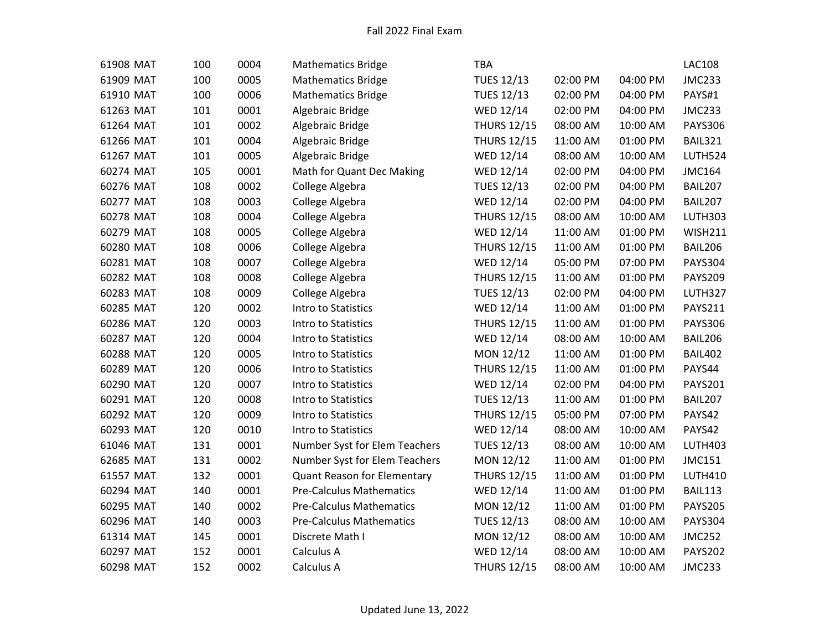| 61908 MAT | 100 | 0004 | <b>Mathematics Bridge</b>          | <b>TBA</b>         |          |          | <b>LAC108</b>  |
|-----------|-----|------|------------------------------------|--------------------|----------|----------|----------------|
| 61909 MAT | 100 | 0005 | <b>Mathematics Bridge</b>          | <b>TUES 12/13</b>  | 02:00 PM | 04:00 PM | <b>JMC233</b>  |
| 61910 MAT | 100 | 0006 | <b>Mathematics Bridge</b>          | <b>TUES 12/13</b>  | 02:00 PM | 04:00 PM | PAYS#1         |
| 61263 MAT | 101 | 0001 | Algebraic Bridge                   | WED 12/14          | 02:00 PM | 04:00 PM | <b>JMC233</b>  |
| 61264 MAT | 101 | 0002 | Algebraic Bridge                   | <b>THURS 12/15</b> | 08:00 AM | 10:00 AM | <b>PAYS306</b> |
| 61266 MAT | 101 | 0004 | Algebraic Bridge                   | <b>THURS 12/15</b> | 11:00 AM | 01:00 PM | BAIL321        |
| 61267 MAT | 101 | 0005 | Algebraic Bridge                   | WED 12/14          | 08:00 AM | 10:00 AM | <b>LUTH524</b> |
| 60274 MAT | 105 | 0001 | Math for Quant Dec Making          | WED 12/14          | 02:00 PM | 04:00 PM | <b>JMC164</b>  |
| 60276 MAT | 108 | 0002 | College Algebra                    | <b>TUES 12/13</b>  | 02:00 PM | 04:00 PM | BAIL207        |
| 60277 MAT | 108 | 0003 | College Algebra                    | WED 12/14          | 02:00 PM | 04:00 PM | BAIL207        |
| 60278 MAT | 108 | 0004 | College Algebra                    | <b>THURS 12/15</b> | 08:00 AM | 10:00 AM | <b>LUTH303</b> |
| 60279 MAT | 108 | 0005 | College Algebra                    | WED 12/14          | 11:00 AM | 01:00 PM | <b>WISH211</b> |
| 60280 MAT | 108 | 0006 | College Algebra                    | <b>THURS 12/15</b> | 11:00 AM | 01:00 PM | BAIL206        |
| 60281 MAT | 108 | 0007 | College Algebra                    | WED 12/14          | 05:00 PM | 07:00 PM | <b>PAYS304</b> |
| 60282 MAT | 108 | 0008 | College Algebra                    | <b>THURS 12/15</b> | 11:00 AM | 01:00 PM | <b>PAYS209</b> |
| 60283 MAT | 108 | 0009 | College Algebra                    | <b>TUES 12/13</b>  | 02:00 PM | 04:00 PM | <b>LUTH327</b> |
| 60285 MAT | 120 | 0002 | Intro to Statistics                | WED 12/14          | 11:00 AM | 01:00 PM | <b>PAYS211</b> |
| 60286 MAT | 120 | 0003 | Intro to Statistics                | <b>THURS 12/15</b> | 11:00 AM | 01:00 PM | <b>PAYS306</b> |
| 60287 MAT | 120 | 0004 | Intro to Statistics                | WED 12/14          | 08:00 AM | 10:00 AM | BAIL206        |
| 60288 MAT | 120 | 0005 | Intro to Statistics                | MON 12/12          | 11:00 AM | 01:00 PM | <b>BAIL402</b> |
| 60289 MAT | 120 | 0006 | Intro to Statistics                | <b>THURS 12/15</b> | 11:00 AM | 01:00 PM | PAYS44         |
| 60290 MAT | 120 | 0007 | Intro to Statistics                | WED 12/14          | 02:00 PM | 04:00 PM | <b>PAYS201</b> |
| 60291 MAT | 120 | 0008 | Intro to Statistics                | <b>TUES 12/13</b>  | 11:00 AM | 01:00 PM | BAIL207        |
| 60292 MAT | 120 | 0009 | Intro to Statistics                | <b>THURS 12/15</b> | 05:00 PM | 07:00 PM | PAYS42         |
| 60293 MAT | 120 | 0010 | Intro to Statistics                | WED 12/14          | 08:00 AM | 10:00 AM | PAYS42         |
| 61046 MAT | 131 | 0001 | Number Syst for Elem Teachers      | <b>TUES 12/13</b>  | 08:00 AM | 10:00 AM | <b>LUTH403</b> |
| 62685 MAT | 131 | 0002 | Number Syst for Elem Teachers      | MON 12/12          | 11:00 AM | 01:00 PM | <b>JMC151</b>  |
| 61557 MAT | 132 | 0001 | <b>Quant Reason for Elementary</b> | <b>THURS 12/15</b> | 11:00 AM | 01:00 PM | <b>LUTH410</b> |
| 60294 MAT | 140 | 0001 | <b>Pre-Calculus Mathematics</b>    | WED 12/14          | 11:00 AM | 01:00 PM | <b>BAIL113</b> |
| 60295 MAT | 140 | 0002 | <b>Pre-Calculus Mathematics</b>    | MON 12/12          | 11:00 AM | 01:00 PM | <b>PAYS205</b> |
| 60296 MAT | 140 | 0003 | <b>Pre-Calculus Mathematics</b>    | <b>TUES 12/13</b>  | 08:00 AM | 10:00 AM | <b>PAYS304</b> |
| 61314 MAT | 145 | 0001 | Discrete Math I                    | MON 12/12          | 08:00 AM | 10:00 AM | <b>JMC252</b>  |
| 60297 MAT | 152 | 0001 | Calculus A                         | WED 12/14          | 08:00 AM | 10:00 AM | <b>PAYS202</b> |
| 60298 MAT | 152 | 0002 | Calculus A                         | <b>THURS 12/15</b> | 08:00 AM | 10:00 AM | <b>JMC233</b>  |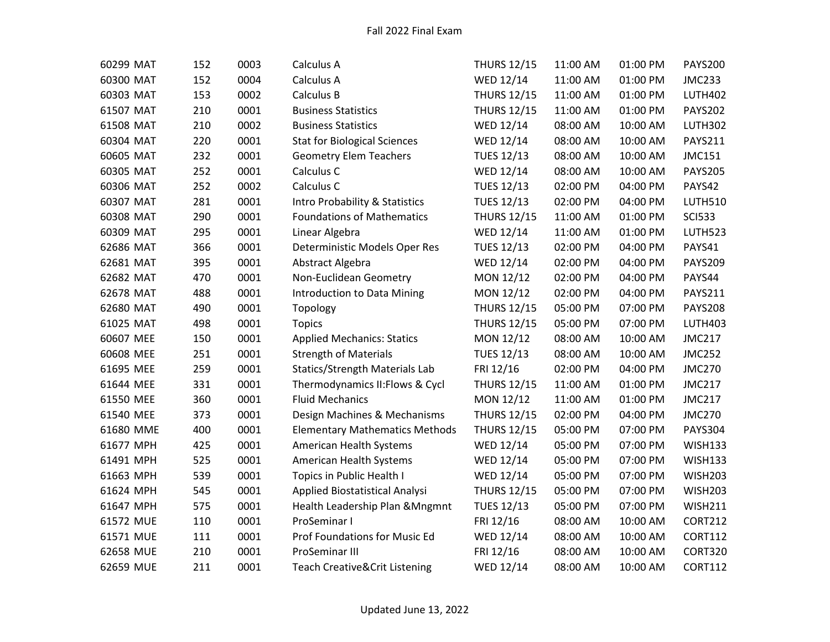| 60299 MAT | 152 | 0003 | Calculus A                               | <b>THURS 12/15</b> | 11:00 AM | 01:00 PM | <b>PAYS200</b> |
|-----------|-----|------|------------------------------------------|--------------------|----------|----------|----------------|
| 60300 MAT | 152 | 0004 | Calculus A                               | WED 12/14          | 11:00 AM | 01:00 PM | <b>JMC233</b>  |
| 60303 MAT | 153 | 0002 | Calculus B                               | <b>THURS 12/15</b> | 11:00 AM | 01:00 PM | <b>LUTH402</b> |
| 61507 MAT | 210 | 0001 | <b>Business Statistics</b>               | <b>THURS 12/15</b> | 11:00 AM | 01:00 PM | <b>PAYS202</b> |
| 61508 MAT | 210 | 0002 | <b>Business Statistics</b>               | WED 12/14          | 08:00 AM | 10:00 AM | <b>LUTH302</b> |
| 60304 MAT | 220 | 0001 | <b>Stat for Biological Sciences</b>      | WED 12/14          | 08:00 AM | 10:00 AM | <b>PAYS211</b> |
| 60605 MAT | 232 | 0001 | <b>Geometry Elem Teachers</b>            | <b>TUES 12/13</b>  | 08:00 AM | 10:00 AM | <b>JMC151</b>  |
| 60305 MAT | 252 | 0001 | Calculus C                               | WED 12/14          | 08:00 AM | 10:00 AM | <b>PAYS205</b> |
| 60306 MAT | 252 | 0002 | Calculus C                               | <b>TUES 12/13</b>  | 02:00 PM | 04:00 PM | PAYS42         |
| 60307 MAT | 281 | 0001 | Intro Probability & Statistics           | <b>TUES 12/13</b>  | 02:00 PM | 04:00 PM | <b>LUTH510</b> |
| 60308 MAT | 290 | 0001 | <b>Foundations of Mathematics</b>        | <b>THURS 12/15</b> | 11:00 AM | 01:00 PM | <b>SCI533</b>  |
| 60309 MAT | 295 | 0001 | Linear Algebra                           | WED 12/14          | 11:00 AM | 01:00 PM | <b>LUTH523</b> |
| 62686 MAT | 366 | 0001 | Deterministic Models Oper Res            | <b>TUES 12/13</b>  | 02:00 PM | 04:00 PM | PAYS41         |
| 62681 MAT | 395 | 0001 | Abstract Algebra                         | WED 12/14          | 02:00 PM | 04:00 PM | <b>PAYS209</b> |
| 62682 MAT | 470 | 0001 | Non-Euclidean Geometry                   | MON 12/12          | 02:00 PM | 04:00 PM | PAYS44         |
| 62678 MAT | 488 | 0001 | Introduction to Data Mining              | MON 12/12          | 02:00 PM | 04:00 PM | <b>PAYS211</b> |
| 62680 MAT | 490 | 0001 | Topology                                 | <b>THURS 12/15</b> | 05:00 PM | 07:00 PM | <b>PAYS208</b> |
| 61025 MAT | 498 | 0001 | <b>Topics</b>                            | <b>THURS 12/15</b> | 05:00 PM | 07:00 PM | <b>LUTH403</b> |
| 60607 MEE | 150 | 0001 | <b>Applied Mechanics: Statics</b>        | MON 12/12          | 08:00 AM | 10:00 AM | <b>JMC217</b>  |
| 60608 MEE | 251 | 0001 | <b>Strength of Materials</b>             | <b>TUES 12/13</b>  | 08:00 AM | 10:00 AM | <b>JMC252</b>  |
| 61695 MEE | 259 | 0001 | <b>Statics/Strength Materials Lab</b>    | FRI 12/16          | 02:00 PM | 04:00 PM | <b>JMC270</b>  |
| 61644 MEE | 331 | 0001 | Thermodynamics II: Flows & Cycl          | <b>THURS 12/15</b> | 11:00 AM | 01:00 PM | <b>JMC217</b>  |
| 61550 MEE | 360 | 0001 | <b>Fluid Mechanics</b>                   | MON 12/12          | 11:00 AM | 01:00 PM | <b>JMC217</b>  |
| 61540 MEE | 373 | 0001 | Design Machines & Mechanisms             | <b>THURS 12/15</b> | 02:00 PM | 04:00 PM | <b>JMC270</b>  |
| 61680 MME | 400 | 0001 | <b>Elementary Mathematics Methods</b>    | <b>THURS 12/15</b> | 05:00 PM | 07:00 PM | <b>PAYS304</b> |
| 61677 MPH | 425 | 0001 | American Health Systems                  | WED 12/14          | 05:00 PM | 07:00 PM | <b>WISH133</b> |
| 61491 MPH | 525 | 0001 | American Health Systems                  | WED 12/14          | 05:00 PM | 07:00 PM | <b>WISH133</b> |
| 61663 MPH | 539 | 0001 | Topics in Public Health I                | WED 12/14          | 05:00 PM | 07:00 PM | <b>WISH203</b> |
| 61624 MPH | 545 | 0001 | Applied Biostatistical Analysi           | <b>THURS 12/15</b> | 05:00 PM | 07:00 PM | <b>WISH203</b> |
| 61647 MPH | 575 | 0001 | Health Leadership Plan & Mngmnt          | <b>TUES 12/13</b>  | 05:00 PM | 07:00 PM | <b>WISH211</b> |
| 61572 MUE | 110 | 0001 | ProSeminar I                             | FRI 12/16          | 08:00 AM | 10:00 AM | <b>CORT212</b> |
| 61571 MUE | 111 | 0001 | Prof Foundations for Music Ed            | WED 12/14          | 08:00 AM | 10:00 AM | <b>CORT112</b> |
| 62658 MUE | 210 | 0001 | ProSeminar III                           | FRI 12/16          | 08:00 AM | 10:00 AM | CORT320        |
| 62659 MUE | 211 | 0001 | <b>Teach Creative&amp;Crit Listening</b> | <b>WED 12/14</b>   | 08:00 AM | 10:00 AM | <b>CORT112</b> |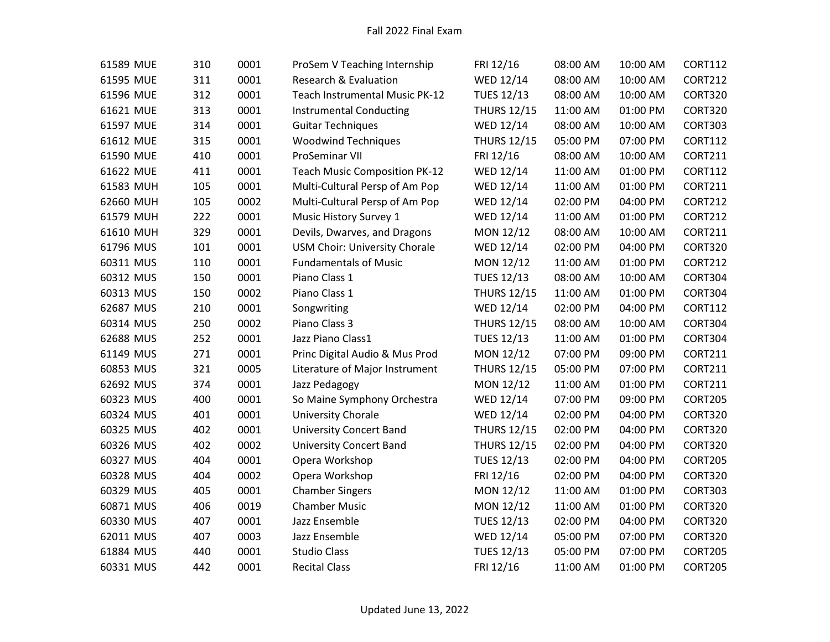| 61589 MUE | 310 | 0001 | ProSem V Teaching Internship         | FRI 12/16          | 08:00 AM | 10:00 AM | <b>CORT112</b> |
|-----------|-----|------|--------------------------------------|--------------------|----------|----------|----------------|
| 61595 MUE | 311 | 0001 | <b>Research &amp; Evaluation</b>     | WED 12/14          | 08:00 AM | 10:00 AM | <b>CORT212</b> |
| 61596 MUE | 312 | 0001 | Teach Instrumental Music PK-12       | <b>TUES 12/13</b>  | 08:00 AM | 10:00 AM | <b>CORT320</b> |
| 61621 MUE | 313 | 0001 | <b>Instrumental Conducting</b>       | <b>THURS 12/15</b> | 11:00 AM | 01:00 PM | CORT320        |
| 61597 MUE | 314 | 0001 | <b>Guitar Techniques</b>             | WED 12/14          | 08:00 AM | 10:00 AM | CORT303        |
| 61612 MUE | 315 | 0001 | <b>Woodwind Techniques</b>           | <b>THURS 12/15</b> | 05:00 PM | 07:00 PM | CORT112        |
| 61590 MUE | 410 | 0001 | ProSeminar VII                       | FRI 12/16          | 08:00 AM | 10:00 AM | <b>CORT211</b> |
| 61622 MUE | 411 | 0001 | <b>Teach Music Composition PK-12</b> | WED 12/14          | 11:00 AM | 01:00 PM | <b>CORT112</b> |
| 61583 MUH | 105 | 0001 | Multi-Cultural Persp of Am Pop       | WED 12/14          | 11:00 AM | 01:00 PM | <b>CORT211</b> |
| 62660 MUH | 105 | 0002 | Multi-Cultural Persp of Am Pop       | <b>WED 12/14</b>   | 02:00 PM | 04:00 PM | <b>CORT212</b> |
| 61579 MUH | 222 | 0001 | Music History Survey 1               | <b>WED 12/14</b>   | 11:00 AM | 01:00 PM | <b>CORT212</b> |
| 61610 MUH | 329 | 0001 | Devils, Dwarves, and Dragons         | MON 12/12          | 08:00 AM | 10:00 AM | <b>CORT211</b> |
| 61796 MUS | 101 | 0001 | <b>USM Choir: University Chorale</b> | WED 12/14          | 02:00 PM | 04:00 PM | CORT320        |
| 60311 MUS | 110 | 0001 | <b>Fundamentals of Music</b>         | MON 12/12          | 11:00 AM | 01:00 PM | <b>CORT212</b> |
| 60312 MUS | 150 | 0001 | Piano Class 1                        | <b>TUES 12/13</b>  | 08:00 AM | 10:00 AM | CORT304        |
| 60313 MUS | 150 | 0002 | Piano Class 1                        | <b>THURS 12/15</b> | 11:00 AM | 01:00 PM | CORT304        |
| 62687 MUS | 210 | 0001 | Songwriting                          | WED 12/14          | 02:00 PM | 04:00 PM | <b>CORT112</b> |
| 60314 MUS | 250 | 0002 | Piano Class 3                        | <b>THURS 12/15</b> | 08:00 AM | 10:00 AM | <b>CORT304</b> |
| 62688 MUS | 252 | 0001 | Jazz Piano Class1                    | <b>TUES 12/13</b>  | 11:00 AM | 01:00 PM | CORT304        |
| 61149 MUS | 271 | 0001 | Princ Digital Audio & Mus Prod       | MON 12/12          | 07:00 PM | 09:00 PM | <b>CORT211</b> |
| 60853 MUS | 321 | 0005 | Literature of Major Instrument       | <b>THURS 12/15</b> | 05:00 PM | 07:00 PM | <b>CORT211</b> |
| 62692 MUS | 374 | 0001 | Jazz Pedagogy                        | MON 12/12          | 11:00 AM | 01:00 PM | <b>CORT211</b> |
| 60323 MUS | 400 | 0001 | So Maine Symphony Orchestra          | WED 12/14          | 07:00 PM | 09:00 PM | <b>CORT205</b> |
| 60324 MUS | 401 | 0001 | University Chorale                   | WED 12/14          | 02:00 PM | 04:00 PM | CORT320        |
| 60325 MUS | 402 | 0001 | <b>University Concert Band</b>       | <b>THURS 12/15</b> | 02:00 PM | 04:00 PM | CORT320        |
| 60326 MUS | 402 | 0002 | <b>University Concert Band</b>       | <b>THURS 12/15</b> | 02:00 PM | 04:00 PM | <b>CORT320</b> |
| 60327 MUS | 404 | 0001 | Opera Workshop                       | <b>TUES 12/13</b>  | 02:00 PM | 04:00 PM | <b>CORT205</b> |
| 60328 MUS | 404 | 0002 | Opera Workshop                       | FRI 12/16          | 02:00 PM | 04:00 PM | CORT320        |
| 60329 MUS | 405 | 0001 | <b>Chamber Singers</b>               | MON 12/12          | 11:00 AM | 01:00 PM | <b>CORT303</b> |
| 60871 MUS | 406 | 0019 | <b>Chamber Music</b>                 | MON 12/12          | 11:00 AM | 01:00 PM | CORT320        |
| 60330 MUS | 407 | 0001 | Jazz Ensemble                        | <b>TUES 12/13</b>  | 02:00 PM | 04:00 PM | <b>CORT320</b> |
| 62011 MUS | 407 | 0003 | Jazz Ensemble                        | WED 12/14          | 05:00 PM | 07:00 PM | <b>CORT320</b> |
| 61884 MUS | 440 | 0001 | <b>Studio Class</b>                  | <b>TUES 12/13</b>  | 05:00 PM | 07:00 PM | <b>CORT205</b> |
| 60331 MUS | 442 | 0001 | <b>Recital Class</b>                 | FRI 12/16          | 11:00 AM | 01:00 PM | <b>CORT205</b> |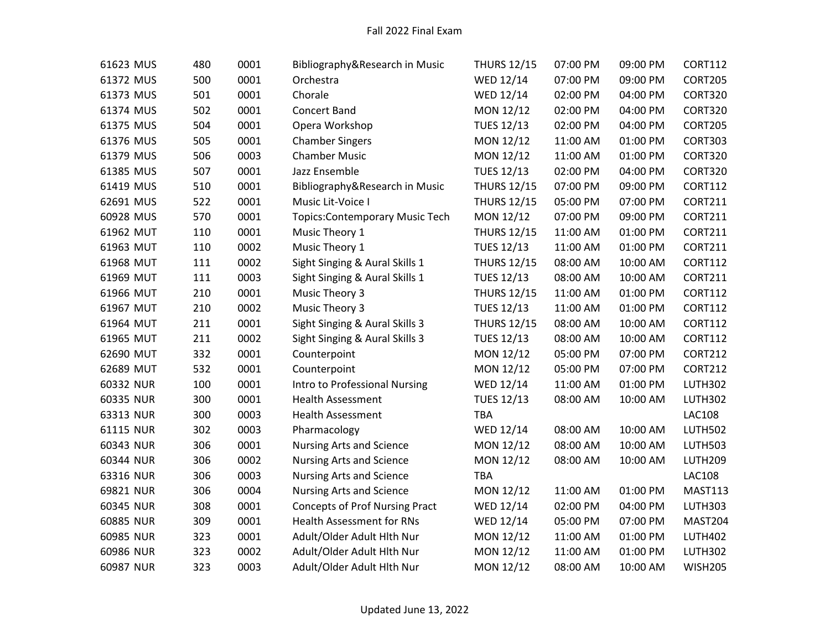| 61623 MUS | 480 | 0001 | Bibliography&Research in Music        | <b>THURS 12/15</b> | 07:00 PM | 09:00 PM | <b>CORT112</b> |
|-----------|-----|------|---------------------------------------|--------------------|----------|----------|----------------|
| 61372 MUS | 500 | 0001 | Orchestra                             | WED 12/14          | 07:00 PM | 09:00 PM | <b>CORT205</b> |
| 61373 MUS | 501 | 0001 | Chorale                               | WED 12/14          | 02:00 PM | 04:00 PM | <b>CORT320</b> |
| 61374 MUS | 502 | 0001 | <b>Concert Band</b>                   | MON 12/12          | 02:00 PM | 04:00 PM | CORT320        |
| 61375 MUS | 504 | 0001 | Opera Workshop                        | <b>TUES 12/13</b>  | 02:00 PM | 04:00 PM | <b>CORT205</b> |
| 61376 MUS | 505 | 0001 | <b>Chamber Singers</b>                | MON 12/12          | 11:00 AM | 01:00 PM | CORT303        |
| 61379 MUS | 506 | 0003 | <b>Chamber Music</b>                  | MON 12/12          | 11:00 AM | 01:00 PM | <b>CORT320</b> |
| 61385 MUS | 507 | 0001 | Jazz Ensemble                         | <b>TUES 12/13</b>  | 02:00 PM | 04:00 PM | <b>CORT320</b> |
| 61419 MUS | 510 | 0001 | Bibliography&Research in Music        | <b>THURS 12/15</b> | 07:00 PM | 09:00 PM | <b>CORT112</b> |
| 62691 MUS | 522 | 0001 | Music Lit-Voice I                     | <b>THURS 12/15</b> | 05:00 PM | 07:00 PM | <b>CORT211</b> |
| 60928 MUS | 570 | 0001 | <b>Topics:Contemporary Music Tech</b> | MON 12/12          | 07:00 PM | 09:00 PM | <b>CORT211</b> |
| 61962 MUT | 110 | 0001 | Music Theory 1                        | <b>THURS 12/15</b> | 11:00 AM | 01:00 PM | <b>CORT211</b> |
| 61963 MUT | 110 | 0002 | Music Theory 1                        | <b>TUES 12/13</b>  | 11:00 AM | 01:00 PM | <b>CORT211</b> |
| 61968 MUT | 111 | 0002 | Sight Singing & Aural Skills 1        | <b>THURS 12/15</b> | 08:00 AM | 10:00 AM | <b>CORT112</b> |
| 61969 MUT | 111 | 0003 | Sight Singing & Aural Skills 1        | <b>TUES 12/13</b>  | 08:00 AM | 10:00 AM | <b>CORT211</b> |
| 61966 MUT | 210 | 0001 | Music Theory 3                        | <b>THURS 12/15</b> | 11:00 AM | 01:00 PM | CORT112        |
| 61967 MUT | 210 | 0002 | Music Theory 3                        | <b>TUES 12/13</b>  | 11:00 AM | 01:00 PM | <b>CORT112</b> |
| 61964 MUT | 211 | 0001 | Sight Singing & Aural Skills 3        | <b>THURS 12/15</b> | 08:00 AM | 10:00 AM | <b>CORT112</b> |
| 61965 MUT | 211 | 0002 | Sight Singing & Aural Skills 3        | <b>TUES 12/13</b>  | 08:00 AM | 10:00 AM | <b>CORT112</b> |
| 62690 MUT | 332 | 0001 | Counterpoint                          | MON 12/12          | 05:00 PM | 07:00 PM | CORT212        |
| 62689 MUT | 532 | 0001 | Counterpoint                          | MON 12/12          | 05:00 PM | 07:00 PM | <b>CORT212</b> |
| 60332 NUR | 100 | 0001 | Intro to Professional Nursing         | WED 12/14          | 11:00 AM | 01:00 PM | <b>LUTH302</b> |
| 60335 NUR | 300 | 0001 | <b>Health Assessment</b>              | <b>TUES 12/13</b>  | 08:00 AM | 10:00 AM | <b>LUTH302</b> |
| 63313 NUR | 300 | 0003 | <b>Health Assessment</b>              | TBA                |          |          | <b>LAC108</b>  |
| 61115 NUR | 302 | 0003 | Pharmacology                          | WED 12/14          | 08:00 AM | 10:00 AM | <b>LUTH502</b> |
| 60343 NUR | 306 | 0001 | Nursing Arts and Science              | MON 12/12          | 08:00 AM | 10:00 AM | <b>LUTH503</b> |
| 60344 NUR | 306 | 0002 | Nursing Arts and Science              | MON 12/12          | 08:00 AM | 10:00 AM | <b>LUTH209</b> |
| 63316 NUR | 306 | 0003 | <b>Nursing Arts and Science</b>       | <b>TBA</b>         |          |          | <b>LAC108</b>  |
| 69821 NUR | 306 | 0004 | <b>Nursing Arts and Science</b>       | MON 12/12          | 11:00 AM | 01:00 PM | MAST113        |
| 60345 NUR | 308 | 0001 | <b>Concepts of Prof Nursing Pract</b> | WED 12/14          | 02:00 PM | 04:00 PM | <b>LUTH303</b> |
| 60885 NUR | 309 | 0001 | <b>Health Assessment for RNs</b>      | WED 12/14          | 05:00 PM | 07:00 PM | MAST204        |
| 60985 NUR | 323 | 0001 | Adult/Older Adult Hith Nur            | MON 12/12          | 11:00 AM | 01:00 PM | <b>LUTH402</b> |
| 60986 NUR | 323 | 0002 | Adult/Older Adult Hith Nur            | MON 12/12          | 11:00 AM | 01:00 PM | <b>LUTH302</b> |
| 60987 NUR | 323 | 0003 | Adult/Older Adult Hith Nur            | MON 12/12          | 08:00 AM | 10:00 AM | <b>WISH205</b> |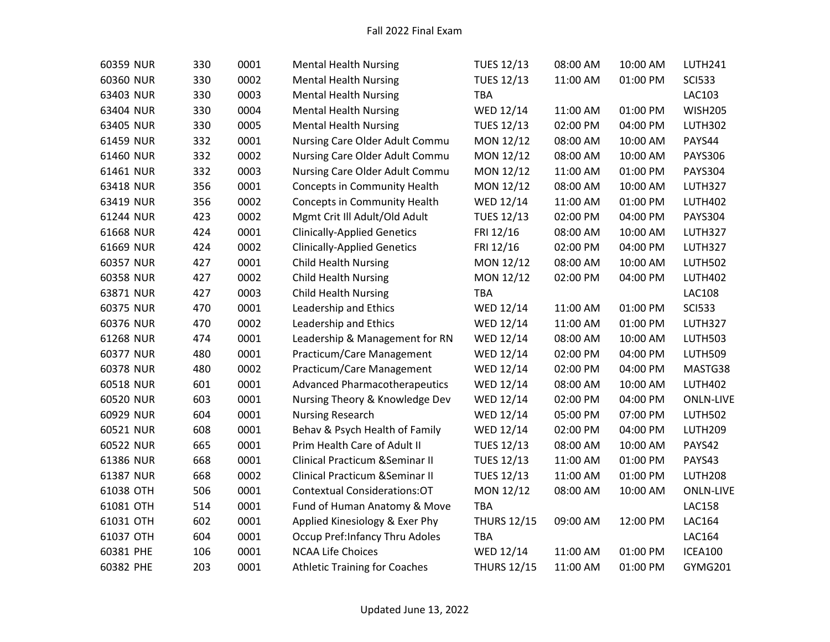| 60359 NUR | 330 | 0001 | <b>Mental Health Nursing</b>               | <b>TUES 12/13</b>  | 08:00 AM | 10:00 AM | <b>LUTH241</b>   |
|-----------|-----|------|--------------------------------------------|--------------------|----------|----------|------------------|
| 60360 NUR | 330 | 0002 | <b>Mental Health Nursing</b>               | <b>TUES 12/13</b>  | 11:00 AM | 01:00 PM | <b>SCI533</b>    |
| 63403 NUR | 330 | 0003 | <b>Mental Health Nursing</b>               | <b>TBA</b>         |          |          | <b>LAC103</b>    |
| 63404 NUR | 330 | 0004 | <b>Mental Health Nursing</b>               | WED 12/14          | 11:00 AM | 01:00 PM | <b>WISH205</b>   |
| 63405 NUR | 330 | 0005 | <b>Mental Health Nursing</b>               | <b>TUES 12/13</b>  | 02:00 PM | 04:00 PM | <b>LUTH302</b>   |
| 61459 NUR | 332 | 0001 | Nursing Care Older Adult Commu             | MON 12/12          | 08:00 AM | 10:00 AM | PAYS44           |
| 61460 NUR | 332 | 0002 | Nursing Care Older Adult Commu             | MON 12/12          | 08:00 AM | 10:00 AM | <b>PAYS306</b>   |
| 61461 NUR | 332 | 0003 | Nursing Care Older Adult Commu             | MON 12/12          | 11:00 AM | 01:00 PM | <b>PAYS304</b>   |
| 63418 NUR | 356 | 0001 | <b>Concepts in Community Health</b>        | MON 12/12          | 08:00 AM | 10:00 AM | LUTH327          |
| 63419 NUR | 356 | 0002 | Concepts in Community Health               | WED 12/14          | 11:00 AM | 01:00 PM | <b>LUTH402</b>   |
| 61244 NUR | 423 | 0002 | Mgmt Crit III Adult/Old Adult              | <b>TUES 12/13</b>  | 02:00 PM | 04:00 PM | <b>PAYS304</b>   |
| 61668 NUR | 424 | 0001 | <b>Clinically-Applied Genetics</b>         | FRI 12/16          | 08:00 AM | 10:00 AM | LUTH327          |
| 61669 NUR | 424 | 0002 | <b>Clinically-Applied Genetics</b>         | FRI 12/16          | 02:00 PM | 04:00 PM | LUTH327          |
| 60357 NUR | 427 | 0001 | <b>Child Health Nursing</b>                | MON 12/12          | 08:00 AM | 10:00 AM | <b>LUTH502</b>   |
| 60358 NUR | 427 | 0002 | <b>Child Health Nursing</b>                | MON 12/12          | 02:00 PM | 04:00 PM | <b>LUTH402</b>   |
| 63871 NUR | 427 | 0003 | <b>Child Health Nursing</b>                | TBA                |          |          | <b>LAC108</b>    |
| 60375 NUR | 470 | 0001 | Leadership and Ethics                      | WED 12/14          | 11:00 AM | 01:00 PM | <b>SCI533</b>    |
| 60376 NUR | 470 | 0002 | Leadership and Ethics                      | WED 12/14          | 11:00 AM | 01:00 PM | LUTH327          |
| 61268 NUR | 474 | 0001 | Leadership & Management for RN             | WED 12/14          | 08:00 AM | 10:00 AM | <b>LUTH503</b>   |
| 60377 NUR | 480 | 0001 | Practicum/Care Management                  | WED 12/14          | 02:00 PM | 04:00 PM | <b>LUTH509</b>   |
| 60378 NUR | 480 | 0002 | Practicum/Care Management                  | WED 12/14          | 02:00 PM | 04:00 PM | MASTG38          |
| 60518 NUR | 601 | 0001 | <b>Advanced Pharmacotherapeutics</b>       | WED 12/14          | 08:00 AM | 10:00 AM | <b>LUTH402</b>   |
| 60520 NUR | 603 | 0001 | Nursing Theory & Knowledge Dev             | WED 12/14          | 02:00 PM | 04:00 PM | <b>ONLN-LIVE</b> |
| 60929 NUR | 604 | 0001 | Nursing Research                           | WED 12/14          | 05:00 PM | 07:00 PM | <b>LUTH502</b>   |
| 60521 NUR | 608 | 0001 | Behav & Psych Health of Family             | WED 12/14          | 02:00 PM | 04:00 PM | <b>LUTH209</b>   |
| 60522 NUR | 665 | 0001 | Prim Health Care of Adult II               | <b>TUES 12/13</b>  | 08:00 AM | 10:00 AM | PAYS42           |
| 61386 NUR | 668 | 0001 | <b>Clinical Practicum &amp; Seminar II</b> | <b>TUES 12/13</b>  | 11:00 AM | 01:00 PM | PAYS43           |
| 61387 NUR | 668 | 0002 | <b>Clinical Practicum &amp; Seminar II</b> | <b>TUES 12/13</b>  | 11:00 AM | 01:00 PM | <b>LUTH208</b>   |
| 61038 OTH | 506 | 0001 | Contextual Considerations:OT               | MON 12/12          | 08:00 AM | 10:00 AM | <b>ONLN-LIVE</b> |
| 61081 OTH | 514 | 0001 | Fund of Human Anatomy & Move               | <b>TBA</b>         |          |          | <b>LAC158</b>    |
| 61031 OTH | 602 | 0001 | Applied Kinesiology & Exer Phy             | <b>THURS 12/15</b> | 09:00 AM | 12:00 PM | <b>LAC164</b>    |
| 61037 OTH | 604 | 0001 | <b>Occup Pref:Infancy Thru Adoles</b>      | TBA                |          |          | <b>LAC164</b>    |
| 60381 PHE | 106 | 0001 | <b>NCAA Life Choices</b>                   | WED 12/14          | 11:00 AM | 01:00 PM | <b>ICEA100</b>   |
| 60382 PHE | 203 | 0001 | <b>Athletic Training for Coaches</b>       | <b>THURS 12/15</b> | 11:00 AM | 01:00 PM | GYMG201          |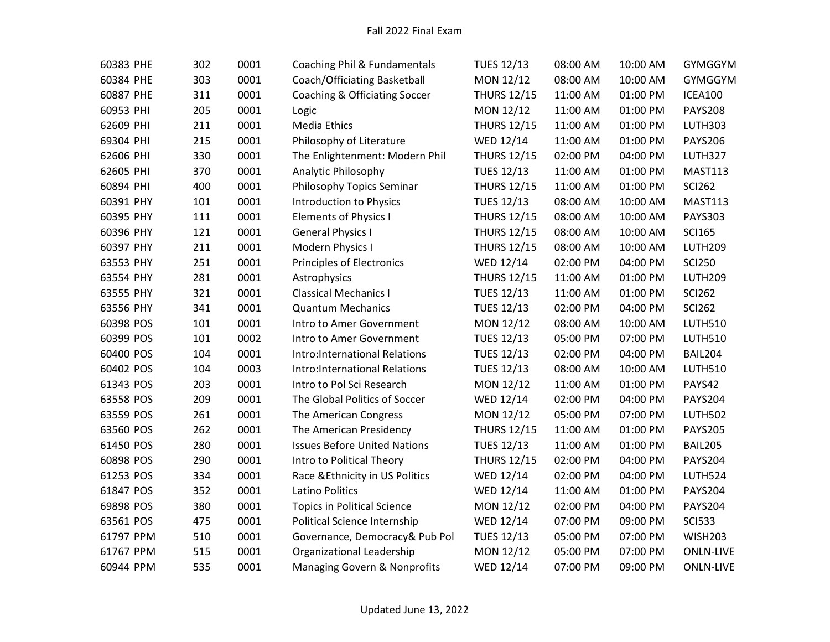| 60383 PHE | 302 | 0001 | Coaching Phil & Fundamentals         | <b>TUES 12/13</b>  | 08:00 AM | 10:00 AM | <b>GYMGGYM</b>   |
|-----------|-----|------|--------------------------------------|--------------------|----------|----------|------------------|
| 60384 PHE | 303 | 0001 | Coach/Officiating Basketball         | MON 12/12          | 08:00 AM | 10:00 AM | <b>GYMGGYM</b>   |
| 60887 PHE | 311 | 0001 | Coaching & Officiating Soccer        | <b>THURS 12/15</b> | 11:00 AM | 01:00 PM | ICEA100          |
| 60953 PHI | 205 | 0001 | Logic                                | MON 12/12          | 11:00 AM | 01:00 PM | <b>PAYS208</b>   |
| 62609 PHI | 211 | 0001 | <b>Media Ethics</b>                  | <b>THURS 12/15</b> | 11:00 AM | 01:00 PM | <b>LUTH303</b>   |
| 69304 PHI | 215 | 0001 | Philosophy of Literature             | WED 12/14          | 11:00 AM | 01:00 PM | <b>PAYS206</b>   |
| 62606 PHI | 330 | 0001 | The Enlightenment: Modern Phil       | <b>THURS 12/15</b> | 02:00 PM | 04:00 PM | <b>LUTH327</b>   |
| 62605 PHI | 370 | 0001 | Analytic Philosophy                  | <b>TUES 12/13</b>  | 11:00 AM | 01:00 PM | <b>MAST113</b>   |
| 60894 PHI | 400 | 0001 | Philosophy Topics Seminar            | <b>THURS 12/15</b> | 11:00 AM | 01:00 PM | <b>SCI262</b>    |
| 60391 PHY | 101 | 0001 | <b>Introduction to Physics</b>       | <b>TUES 12/13</b>  | 08:00 AM | 10:00 AM | <b>MAST113</b>   |
| 60395 PHY | 111 | 0001 | <b>Elements of Physics I</b>         | <b>THURS 12/15</b> | 08:00 AM | 10:00 AM | <b>PAYS303</b>   |
| 60396 PHY | 121 | 0001 | <b>General Physics I</b>             | <b>THURS 12/15</b> | 08:00 AM | 10:00 AM | <b>SCI165</b>    |
| 60397 PHY | 211 | 0001 | Modern Physics I                     | <b>THURS 12/15</b> | 08:00 AM | 10:00 AM | <b>LUTH209</b>   |
| 63553 PHY | 251 | 0001 | <b>Principles of Electronics</b>     | WED 12/14          | 02:00 PM | 04:00 PM | <b>SCI250</b>    |
| 63554 PHY | 281 | 0001 | Astrophysics                         | <b>THURS 12/15</b> | 11:00 AM | 01:00 PM | <b>LUTH209</b>   |
| 63555 PHY | 321 | 0001 | <b>Classical Mechanics I</b>         | <b>TUES 12/13</b>  | 11:00 AM | 01:00 PM | <b>SCI262</b>    |
| 63556 PHY | 341 | 0001 | <b>Quantum Mechanics</b>             | <b>TUES 12/13</b>  | 02:00 PM | 04:00 PM | <b>SCI262</b>    |
| 60398 POS | 101 | 0001 | Intro to Amer Government             | MON 12/12          | 08:00 AM | 10:00 AM | <b>LUTH510</b>   |
| 60399 POS | 101 | 0002 | Intro to Amer Government             | <b>TUES 12/13</b>  | 05:00 PM | 07:00 PM | <b>LUTH510</b>   |
| 60400 POS | 104 | 0001 | <b>Intro:International Relations</b> | <b>TUES 12/13</b>  | 02:00 PM | 04:00 PM | BAIL204          |
| 60402 POS | 104 | 0003 | <b>Intro:International Relations</b> | <b>TUES 12/13</b>  | 08:00 AM | 10:00 AM | <b>LUTH510</b>   |
| 61343 POS | 203 | 0001 | Intro to Pol Sci Research            | MON 12/12          | 11:00 AM | 01:00 PM | PAYS42           |
| 63558 POS | 209 | 0001 | The Global Politics of Soccer        | WED 12/14          | 02:00 PM | 04:00 PM | <b>PAYS204</b>   |
| 63559 POS | 261 | 0001 | The American Congress                | MON 12/12          | 05:00 PM | 07:00 PM | <b>LUTH502</b>   |
| 63560 POS | 262 | 0001 | The American Presidency              | <b>THURS 12/15</b> | 11:00 AM | 01:00 PM | <b>PAYS205</b>   |
| 61450 POS | 280 | 0001 | <b>Issues Before United Nations</b>  | <b>TUES 12/13</b>  | 11:00 AM | 01:00 PM | <b>BAIL205</b>   |
| 60898 POS | 290 | 0001 | Intro to Political Theory            | <b>THURS 12/15</b> | 02:00 PM | 04:00 PM | <b>PAYS204</b>   |
| 61253 POS | 334 | 0001 | Race & Ethnicity in US Politics      | WED 12/14          | 02:00 PM | 04:00 PM | <b>LUTH524</b>   |
| 61847 POS | 352 | 0001 | <b>Latino Politics</b>               | <b>WED 12/14</b>   | 11:00 AM | 01:00 PM | <b>PAYS204</b>   |
| 69898 POS | 380 | 0001 | <b>Topics in Political Science</b>   | MON 12/12          | 02:00 PM | 04:00 PM | <b>PAYS204</b>   |
| 63561 POS | 475 | 0001 | Political Science Internship         | WED 12/14          | 07:00 PM | 09:00 PM | <b>SCI533</b>    |
| 61797 PPM | 510 | 0001 | Governance, Democracy& Pub Pol       | <b>TUES 12/13</b>  | 05:00 PM | 07:00 PM | <b>WISH203</b>   |
| 61767 PPM | 515 | 0001 | Organizational Leadership            | MON 12/12          | 05:00 PM | 07:00 PM | ONLN-LIVE        |
| 60944 PPM | 535 | 0001 | Managing Govern & Nonprofits         | WED 12/14          | 07:00 PM | 09:00 PM | <b>ONLN-LIVE</b> |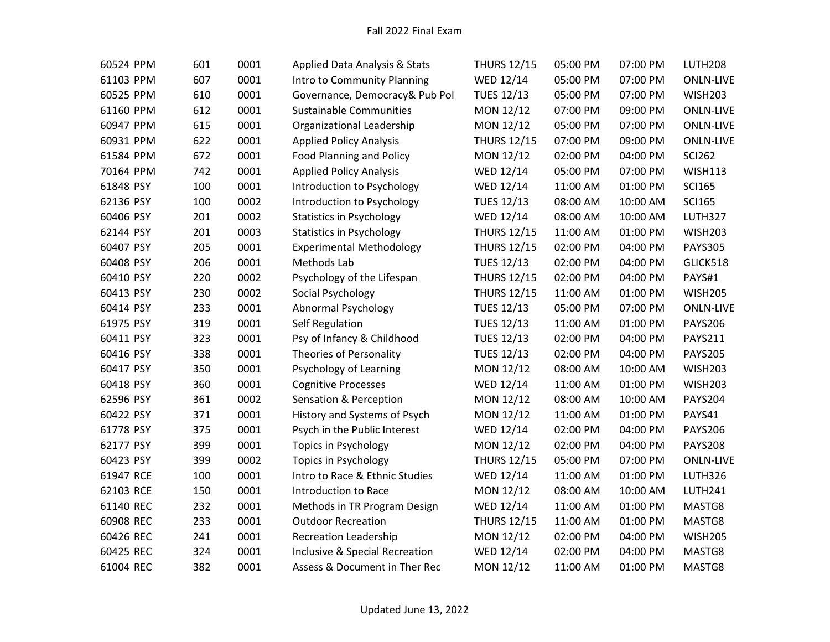| 60524 PPM | 601 | 0001 | Applied Data Analysis & Stats   | <b>THURS 12/15</b> | 05:00 PM | 07:00 PM | <b>LUTH208</b>   |
|-----------|-----|------|---------------------------------|--------------------|----------|----------|------------------|
| 61103 PPM | 607 | 0001 | Intro to Community Planning     | WED 12/14          | 05:00 PM | 07:00 PM | <b>ONLN-LIVE</b> |
| 60525 PPM | 610 | 0001 | Governance, Democracy& Pub Pol  | <b>TUES 12/13</b>  | 05:00 PM | 07:00 PM | <b>WISH203</b>   |
| 61160 PPM | 612 | 0001 | <b>Sustainable Communities</b>  | MON 12/12          | 07:00 PM | 09:00 PM | <b>ONLN-LIVE</b> |
| 60947 PPM | 615 | 0001 | Organizational Leadership       | MON 12/12          | 05:00 PM | 07:00 PM | <b>ONLN-LIVE</b> |
| 60931 PPM | 622 | 0001 | <b>Applied Policy Analysis</b>  | <b>THURS 12/15</b> | 07:00 PM | 09:00 PM | <b>ONLN-LIVE</b> |
| 61584 PPM | 672 | 0001 | <b>Food Planning and Policy</b> | MON 12/12          | 02:00 PM | 04:00 PM | <b>SCI262</b>    |
| 70164 PPM | 742 | 0001 | <b>Applied Policy Analysis</b>  | WED 12/14          | 05:00 PM | 07:00 PM | <b>WISH113</b>   |
| 61848 PSY | 100 | 0001 | Introduction to Psychology      | WED 12/14          | 11:00 AM | 01:00 PM | <b>SCI165</b>    |
| 62136 PSY | 100 | 0002 | Introduction to Psychology      | <b>TUES 12/13</b>  | 08:00 AM | 10:00 AM | <b>SCI165</b>    |
| 60406 PSY | 201 | 0002 | <b>Statistics in Psychology</b> | WED 12/14          | 08:00 AM | 10:00 AM | <b>LUTH327</b>   |
| 62144 PSY | 201 | 0003 | <b>Statistics in Psychology</b> | <b>THURS 12/15</b> | 11:00 AM | 01:00 PM | <b>WISH203</b>   |
| 60407 PSY | 205 | 0001 | <b>Experimental Methodology</b> | <b>THURS 12/15</b> | 02:00 PM | 04:00 PM | <b>PAYS305</b>   |
| 60408 PSY | 206 | 0001 | Methods Lab                     | <b>TUES 12/13</b>  | 02:00 PM | 04:00 PM | GLICK518         |
| 60410 PSY | 220 | 0002 | Psychology of the Lifespan      | <b>THURS 12/15</b> | 02:00 PM | 04:00 PM | PAYS#1           |
| 60413 PSY | 230 | 0002 | Social Psychology               | <b>THURS 12/15</b> | 11:00 AM | 01:00 PM | <b>WISH205</b>   |
| 60414 PSY | 233 | 0001 | Abnormal Psychology             | <b>TUES 12/13</b>  | 05:00 PM | 07:00 PM | <b>ONLN-LIVE</b> |
| 61975 PSY | 319 | 0001 | <b>Self Regulation</b>          | <b>TUES 12/13</b>  | 11:00 AM | 01:00 PM | <b>PAYS206</b>   |
| 60411 PSY | 323 | 0001 | Psy of Infancy & Childhood      | <b>TUES 12/13</b>  | 02:00 PM | 04:00 PM | <b>PAYS211</b>   |
| 60416 PSY | 338 | 0001 | <b>Theories of Personality</b>  | <b>TUES 12/13</b>  | 02:00 PM | 04:00 PM | <b>PAYS205</b>   |
| 60417 PSY | 350 | 0001 | Psychology of Learning          | MON 12/12          | 08:00 AM | 10:00 AM | <b>WISH203</b>   |
| 60418 PSY | 360 | 0001 | <b>Cognitive Processes</b>      | WED 12/14          | 11:00 AM | 01:00 PM | <b>WISH203</b>   |
| 62596 PSY | 361 | 0002 | Sensation & Perception          | MON 12/12          | 08:00 AM | 10:00 AM | <b>PAYS204</b>   |
| 60422 PSY | 371 | 0001 | History and Systems of Psych    | MON 12/12          | 11:00 AM | 01:00 PM | PAYS41           |
| 61778 PSY | 375 | 0001 | Psych in the Public Interest    | WED 12/14          | 02:00 PM | 04:00 PM | <b>PAYS206</b>   |
| 62177 PSY | 399 | 0001 | Topics in Psychology            | MON 12/12          | 02:00 PM | 04:00 PM | <b>PAYS208</b>   |
| 60423 PSY | 399 | 0002 | <b>Topics in Psychology</b>     | <b>THURS 12/15</b> | 05:00 PM | 07:00 PM | <b>ONLN-LIVE</b> |
| 61947 RCE | 100 | 0001 | Intro to Race & Ethnic Studies  | WED 12/14          | 11:00 AM | 01:00 PM | <b>LUTH326</b>   |
| 62103 RCE | 150 | 0001 | Introduction to Race            | MON 12/12          | 08:00 AM | 10:00 AM | <b>LUTH241</b>   |
| 61140 REC | 232 | 0001 | Methods in TR Program Design    | WED 12/14          | 11:00 AM | 01:00 PM | MASTG8           |
| 60908 REC | 233 | 0001 | <b>Outdoor Recreation</b>       | <b>THURS 12/15</b> | 11:00 AM | 01:00 PM | MASTG8           |
| 60426 REC | 241 | 0001 | <b>Recreation Leadership</b>    | MON 12/12          | 02:00 PM | 04:00 PM | <b>WISH205</b>   |
| 60425 REC | 324 | 0001 | Inclusive & Special Recreation  | WED 12/14          | 02:00 PM | 04:00 PM | MASTG8           |
| 61004 REC | 382 | 0001 | Assess & Document in Ther Rec   | MON 12/12          | 11:00 AM | 01:00 PM | MASTG8           |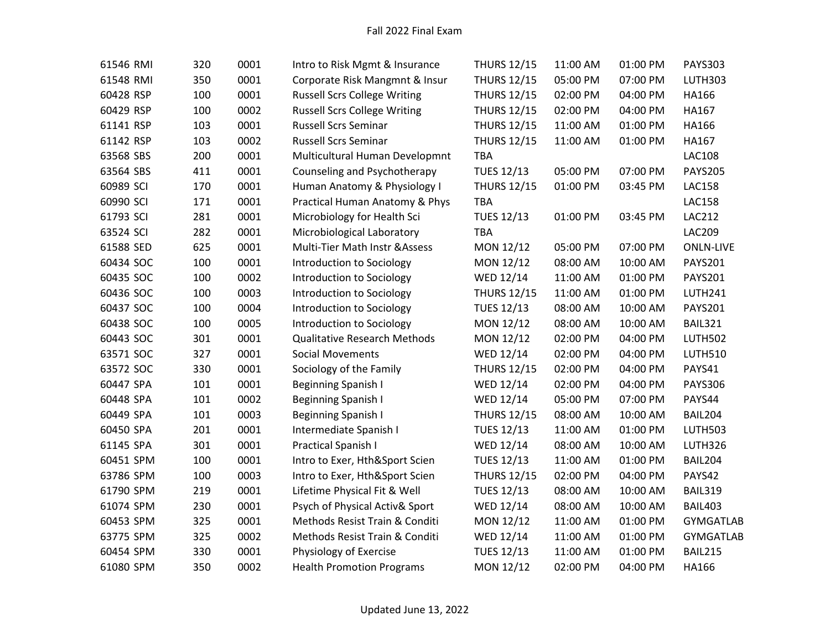| 61546 RMI | 320 | 0001 | Intro to Risk Mgmt & Insurance      | <b>THURS 12/15</b> | 11:00 AM | 01:00 PM | <b>PAYS303</b>   |
|-----------|-----|------|-------------------------------------|--------------------|----------|----------|------------------|
| 61548 RMI | 350 | 0001 | Corporate Risk Mangmnt & Insur      | <b>THURS 12/15</b> | 05:00 PM | 07:00 PM | <b>LUTH303</b>   |
| 60428 RSP | 100 | 0001 | <b>Russell Scrs College Writing</b> | <b>THURS 12/15</b> | 02:00 PM | 04:00 PM | HA166            |
| 60429 RSP | 100 | 0002 | <b>Russell Scrs College Writing</b> | <b>THURS 12/15</b> | 02:00 PM | 04:00 PM | HA167            |
| 61141 RSP | 103 | 0001 | <b>Russell Scrs Seminar</b>         | <b>THURS 12/15</b> | 11:00 AM | 01:00 PM | HA166            |
| 61142 RSP | 103 | 0002 | <b>Russell Scrs Seminar</b>         | <b>THURS 12/15</b> | 11:00 AM | 01:00 PM | HA167            |
| 63568 SBS | 200 | 0001 | Multicultural Human Developmnt      | <b>TBA</b>         |          |          | <b>LAC108</b>    |
| 63564 SBS | 411 | 0001 | Counseling and Psychotherapy        | <b>TUES 12/13</b>  | 05:00 PM | 07:00 PM | <b>PAYS205</b>   |
| 60989 SCI | 170 | 0001 | Human Anatomy & Physiology I        | <b>THURS 12/15</b> | 01:00 PM | 03:45 PM | <b>LAC158</b>    |
| 60990 SCI | 171 | 0001 | Practical Human Anatomy & Phys      | TBA                |          |          | <b>LAC158</b>    |
| 61793 SCI | 281 | 0001 | Microbiology for Health Sci         | <b>TUES 12/13</b>  | 01:00 PM | 03:45 PM | <b>LAC212</b>    |
| 63524 SCI | 282 | 0001 | Microbiological Laboratory          | TBA                |          |          | <b>LAC209</b>    |
| 61588 SED | 625 | 0001 | Multi-Tier Math Instr & Assess      | MON 12/12          | 05:00 PM | 07:00 PM | <b>ONLN-LIVE</b> |
| 60434 SOC | 100 | 0001 | Introduction to Sociology           | MON 12/12          | 08:00 AM | 10:00 AM | <b>PAYS201</b>   |
| 60435 SOC | 100 | 0002 | Introduction to Sociology           | WED 12/14          | 11:00 AM | 01:00 PM | <b>PAYS201</b>   |
| 60436 SOC | 100 | 0003 | Introduction to Sociology           | <b>THURS 12/15</b> | 11:00 AM | 01:00 PM | <b>LUTH241</b>   |
| 60437 SOC | 100 | 0004 | Introduction to Sociology           | <b>TUES 12/13</b>  | 08:00 AM | 10:00 AM | <b>PAYS201</b>   |
| 60438 SOC | 100 | 0005 | Introduction to Sociology           | MON 12/12          | 08:00 AM | 10:00 AM | BAIL321          |
| 60443 SOC | 301 | 0001 | <b>Qualitative Research Methods</b> | MON 12/12          | 02:00 PM | 04:00 PM | <b>LUTH502</b>   |
| 63571 SOC | 327 | 0001 | <b>Social Movements</b>             | WED 12/14          | 02:00 PM | 04:00 PM | <b>LUTH510</b>   |
| 63572 SOC | 330 | 0001 | Sociology of the Family             | <b>THURS 12/15</b> | 02:00 PM | 04:00 PM | PAYS41           |
| 60447 SPA | 101 | 0001 | Beginning Spanish I                 | WED 12/14          | 02:00 PM | 04:00 PM | <b>PAYS306</b>   |
| 60448 SPA | 101 | 0002 | Beginning Spanish I                 | WED 12/14          | 05:00 PM | 07:00 PM | PAYS44           |
| 60449 SPA | 101 | 0003 | Beginning Spanish I                 | <b>THURS 12/15</b> | 08:00 AM | 10:00 AM | BAIL204          |
| 60450 SPA | 201 | 0001 | Intermediate Spanish I              | <b>TUES 12/13</b>  | 11:00 AM | 01:00 PM | <b>LUTH503</b>   |
| 61145 SPA | 301 | 0001 | Practical Spanish I                 | WED 12/14          | 08:00 AM | 10:00 AM | <b>LUTH326</b>   |
| 60451 SPM | 100 | 0001 | Intro to Exer, Hth&Sport Scien      | <b>TUES 12/13</b>  | 11:00 AM | 01:00 PM | BAIL204          |
| 63786 SPM | 100 | 0003 | Intro to Exer, Hth&Sport Scien      | <b>THURS 12/15</b> | 02:00 PM | 04:00 PM | PAYS42           |
| 61790 SPM | 219 | 0001 | Lifetime Physical Fit & Well        | <b>TUES 12/13</b>  | 08:00 AM | 10:00 AM | BAIL319          |
| 61074 SPM | 230 | 0001 | Psych of Physical Activ& Sport      | WED 12/14          | 08:00 AM | 10:00 AM | <b>BAIL403</b>   |
| 60453 SPM | 325 | 0001 | Methods Resist Train & Conditi      | MON 12/12          | 11:00 AM | 01:00 PM | <b>GYMGATLAB</b> |
| 63775 SPM | 325 | 0002 | Methods Resist Train & Conditi      | WED 12/14          | 11:00 AM | 01:00 PM | <b>GYMGATLAB</b> |
| 60454 SPM | 330 | 0001 | Physiology of Exercise              | <b>TUES 12/13</b>  | 11:00 AM | 01:00 PM | <b>BAIL215</b>   |
| 61080 SPM | 350 | 0002 | <b>Health Promotion Programs</b>    | MON 12/12          | 02:00 PM | 04:00 PM | HA166            |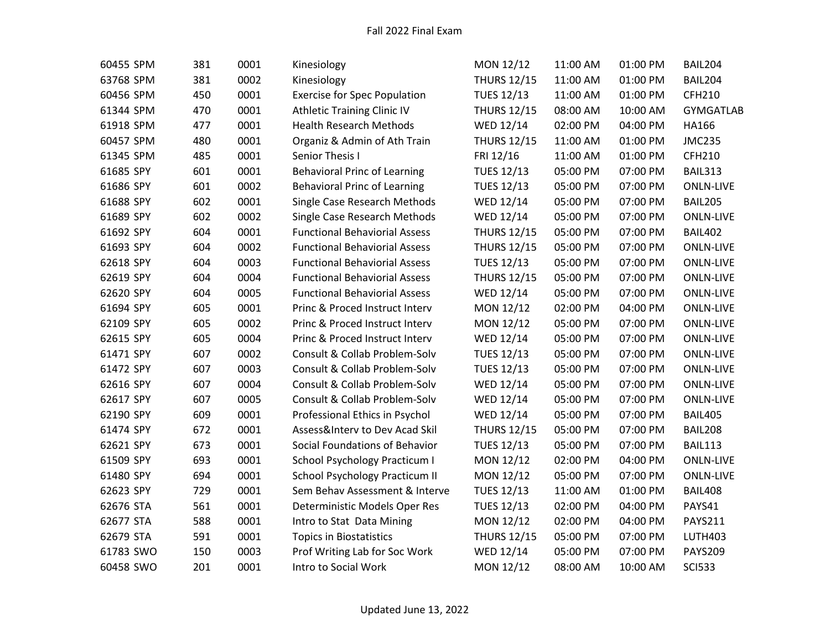| 60455 SPM | 381 | 0001 | Kinesiology                           | MON 12/12          | 11:00 AM | 01:00 PM | BAIL204          |
|-----------|-----|------|---------------------------------------|--------------------|----------|----------|------------------|
| 63768 SPM | 381 | 0002 | Kinesiology                           | <b>THURS 12/15</b> | 11:00 AM | 01:00 PM | BAIL204          |
| 60456 SPM | 450 | 0001 | <b>Exercise for Spec Population</b>   | <b>TUES 12/13</b>  | 11:00 AM | 01:00 PM | CFH210           |
| 61344 SPM | 470 | 0001 | <b>Athletic Training Clinic IV</b>    | <b>THURS 12/15</b> | 08:00 AM | 10:00 AM | <b>GYMGATLAB</b> |
| 61918 SPM | 477 | 0001 | <b>Health Research Methods</b>        | WED 12/14          | 02:00 PM | 04:00 PM | HA166            |
| 60457 SPM | 480 | 0001 | Organiz & Admin of Ath Train          | <b>THURS 12/15</b> | 11:00 AM | 01:00 PM | <b>JMC235</b>    |
| 61345 SPM | 485 | 0001 | Senior Thesis I                       | FRI 12/16          | 11:00 AM | 01:00 PM | <b>CFH210</b>    |
| 61685 SPY | 601 | 0001 | <b>Behavioral Princ of Learning</b>   | <b>TUES 12/13</b>  | 05:00 PM | 07:00 PM | BAIL313          |
| 61686 SPY | 601 | 0002 | <b>Behavioral Princ of Learning</b>   | <b>TUES 12/13</b>  | 05:00 PM | 07:00 PM | <b>ONLN-LIVE</b> |
| 61688 SPY | 602 | 0001 | Single Case Research Methods          | WED 12/14          | 05:00 PM | 07:00 PM | <b>BAIL205</b>   |
| 61689 SPY | 602 | 0002 | Single Case Research Methods          | WED 12/14          | 05:00 PM | 07:00 PM | <b>ONLN-LIVE</b> |
| 61692 SPY | 604 | 0001 | <b>Functional Behaviorial Assess</b>  | <b>THURS 12/15</b> | 05:00 PM | 07:00 PM | <b>BAIL402</b>   |
| 61693 SPY | 604 | 0002 | <b>Functional Behaviorial Assess</b>  | <b>THURS 12/15</b> | 05:00 PM | 07:00 PM | <b>ONLN-LIVE</b> |
| 62618 SPY | 604 | 0003 | <b>Functional Behaviorial Assess</b>  | <b>TUES 12/13</b>  | 05:00 PM | 07:00 PM | <b>ONLN-LIVE</b> |
| 62619 SPY | 604 | 0004 | <b>Functional Behaviorial Assess</b>  | <b>THURS 12/15</b> | 05:00 PM | 07:00 PM | <b>ONLN-LIVE</b> |
| 62620 SPY | 604 | 0005 | <b>Functional Behaviorial Assess</b>  | WED 12/14          | 05:00 PM | 07:00 PM | <b>ONLN-LIVE</b> |
| 61694 SPY | 605 | 0001 | Princ & Proced Instruct Interv        | MON 12/12          | 02:00 PM | 04:00 PM | <b>ONLN-LIVE</b> |
| 62109 SPY | 605 | 0002 | Princ & Proced Instruct Interv        | MON 12/12          | 05:00 PM | 07:00 PM | <b>ONLN-LIVE</b> |
| 62615 SPY | 605 | 0004 | Princ & Proced Instruct Interv        | WED 12/14          | 05:00 PM | 07:00 PM | <b>ONLN-LIVE</b> |
| 61471 SPY | 607 | 0002 | Consult & Collab Problem-Solv         | <b>TUES 12/13</b>  | 05:00 PM | 07:00 PM | <b>ONLN-LIVE</b> |
| 61472 SPY | 607 | 0003 | Consult & Collab Problem-Solv         | <b>TUES 12/13</b>  | 05:00 PM | 07:00 PM | <b>ONLN-LIVE</b> |
| 62616 SPY | 607 | 0004 | Consult & Collab Problem-Solv         | WED 12/14          | 05:00 PM | 07:00 PM | <b>ONLN-LIVE</b> |
| 62617 SPY | 607 | 0005 | Consult & Collab Problem-Solv         | WED 12/14          | 05:00 PM | 07:00 PM | <b>ONLN-LIVE</b> |
| 62190 SPY | 609 | 0001 | Professional Ethics in Psychol        | WED 12/14          | 05:00 PM | 07:00 PM | <b>BAIL405</b>   |
| 61474 SPY | 672 | 0001 | Assess&Interv to Dev Acad Skil        | <b>THURS 12/15</b> | 05:00 PM | 07:00 PM | BAIL208          |
| 62621 SPY | 673 | 0001 | Social Foundations of Behavior        | <b>TUES 12/13</b>  | 05:00 PM | 07:00 PM | <b>BAIL113</b>   |
| 61509 SPY | 693 | 0001 | School Psychology Practicum I         | MON 12/12          | 02:00 PM | 04:00 PM | <b>ONLN-LIVE</b> |
| 61480 SPY | 694 | 0001 | <b>School Psychology Practicum II</b> | MON 12/12          | 05:00 PM | 07:00 PM | <b>ONLN-LIVE</b> |
| 62623 SPY | 729 | 0001 | Sem Behav Assessment & Interve        | <b>TUES 12/13</b>  | 11:00 AM | 01:00 PM | <b>BAIL408</b>   |
| 62676 STA | 561 | 0001 | Deterministic Models Oper Res         | <b>TUES 12/13</b>  | 02:00 PM | 04:00 PM | PAYS41           |
| 62677 STA | 588 | 0001 | Intro to Stat Data Mining             | MON 12/12          | 02:00 PM | 04:00 PM | <b>PAYS211</b>   |
| 62679 STA | 591 | 0001 | <b>Topics in Biostatistics</b>        | <b>THURS 12/15</b> | 05:00 PM | 07:00 PM | <b>LUTH403</b>   |
| 61783 SWO | 150 | 0003 | Prof Writing Lab for Soc Work         | WED 12/14          | 05:00 PM | 07:00 PM | <b>PAYS209</b>   |
| 60458 SWO | 201 | 0001 | Intro to Social Work                  | MON 12/12          | 08:00 AM | 10:00 AM | <b>SCI533</b>    |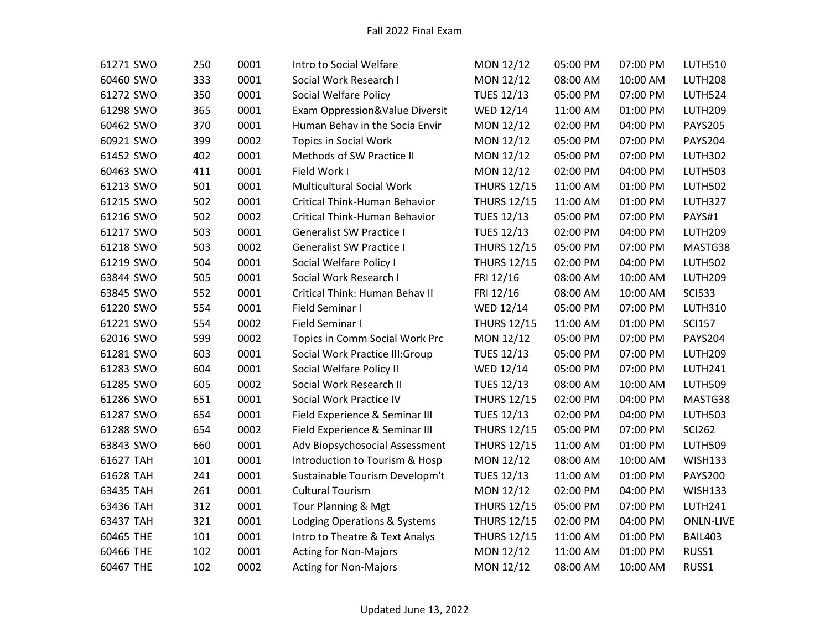| 61271 SWO | 250 | 0001 | Intro to Social Welfare          | MON 12/12          | 05:00 PM | 07:00 PM | <b>LUTH510</b>   |
|-----------|-----|------|----------------------------------|--------------------|----------|----------|------------------|
| 60460 SWO | 333 | 0001 | Social Work Research I           | MON 12/12          | 08:00 AM | 10:00 AM | <b>LUTH208</b>   |
| 61272 SWO | 350 | 0001 | Social Welfare Policy            | <b>TUES 12/13</b>  | 05:00 PM | 07:00 PM | <b>LUTH524</b>   |
| 61298 SWO | 365 | 0001 | Exam Oppression&Value Diversit   | WED 12/14          | 11:00 AM | 01:00 PM | <b>LUTH209</b>   |
| 60462 SWO | 370 | 0001 | Human Behav in the Socia Envir   | MON 12/12          | 02:00 PM | 04:00 PM | <b>PAYS205</b>   |
| 60921 SWO | 399 | 0002 | <b>Topics in Social Work</b>     | MON 12/12          | 05:00 PM | 07:00 PM | <b>PAYS204</b>   |
| 61452 SWO | 402 | 0001 | Methods of SW Practice II        | MON 12/12          | 05:00 PM | 07:00 PM | <b>LUTH302</b>   |
| 60463 SWO | 411 | 0001 | Field Work I                     | MON 12/12          | 02:00 PM | 04:00 PM | <b>LUTH503</b>   |
| 61213 SWO | 501 | 0001 | <b>Multicultural Social Work</b> | <b>THURS 12/15</b> | 11:00 AM | 01:00 PM | <b>LUTH502</b>   |
| 61215 SWO | 502 | 0001 | Critical Think-Human Behavior    | <b>THURS 12/15</b> | 11:00 AM | 01:00 PM | LUTH327          |
| 61216 SWO | 502 | 0002 | Critical Think-Human Behavior    | <b>TUES 12/13</b>  | 05:00 PM | 07:00 PM | PAYS#1           |
| 61217 SWO | 503 | 0001 | <b>Generalist SW Practice I</b>  | <b>TUES 12/13</b>  | 02:00 PM | 04:00 PM | <b>LUTH209</b>   |
| 61218 SWO | 503 | 0002 | <b>Generalist SW Practice I</b>  | <b>THURS 12/15</b> | 05:00 PM | 07:00 PM | MASTG38          |
| 61219 SWO | 504 | 0001 | Social Welfare Policy I          | <b>THURS 12/15</b> | 02:00 PM | 04:00 PM | <b>LUTH502</b>   |
| 63844 SWO | 505 | 0001 | Social Work Research I           | FRI 12/16          | 08:00 AM | 10:00 AM | <b>LUTH209</b>   |
| 63845 SWO | 552 | 0001 | Critical Think: Human Behav II   | FRI 12/16          | 08:00 AM | 10:00 AM | <b>SCI533</b>    |
| 61220 SWO | 554 | 0001 | Field Seminar I                  | WED 12/14          | 05:00 PM | 07:00 PM | <b>LUTH310</b>   |
| 61221 SWO | 554 | 0002 | Field Seminar I                  | <b>THURS 12/15</b> | 11:00 AM | 01:00 PM | <b>SCI157</b>    |
| 62016 SWO | 599 | 0002 | Topics in Comm Social Work Prc   | MON 12/12          | 05:00 PM | 07:00 PM | <b>PAYS204</b>   |
| 61281 SWO | 603 | 0001 | Social Work Practice III: Group  | <b>TUES 12/13</b>  | 05:00 PM | 07:00 PM | <b>LUTH209</b>   |
| 61283 SWO | 604 | 0001 | Social Welfare Policy II         | WED 12/14          | 05:00 PM | 07:00 PM | <b>LUTH241</b>   |
| 61285 SWO | 605 | 0002 | Social Work Research II          | <b>TUES 12/13</b>  | 08:00 AM | 10:00 AM | <b>LUTH509</b>   |
| 61286 SWO | 651 | 0001 | Social Work Practice IV          | <b>THURS 12/15</b> | 02:00 PM | 04:00 PM | MASTG38          |
| 61287 SWO | 654 | 0001 | Field Experience & Seminar III   | <b>TUES 12/13</b>  | 02:00 PM | 04:00 PM | <b>LUTH503</b>   |
| 61288 SWO | 654 | 0002 | Field Experience & Seminar III   | <b>THURS 12/15</b> | 05:00 PM | 07:00 PM | <b>SCI262</b>    |
| 63843 SWO | 660 | 0001 | Adv Biopsychosocial Assessment   | <b>THURS 12/15</b> | 11:00 AM | 01:00 PM | <b>LUTH509</b>   |
| 61627 TAH | 101 | 0001 | Introduction to Tourism & Hosp   | MON 12/12          | 08:00 AM | 10:00 AM | <b>WISH133</b>   |
| 61628 TAH | 241 | 0001 | Sustainable Tourism Developm't   | <b>TUES 12/13</b>  | 11:00 AM | 01:00 PM | <b>PAYS200</b>   |
| 63435 TAH | 261 | 0001 | <b>Cultural Tourism</b>          | MON 12/12          | 02:00 PM | 04:00 PM | <b>WISH133</b>   |
| 63436 TAH | 312 | 0001 | Tour Planning & Mgt              | <b>THURS 12/15</b> | 05:00 PM | 07:00 PM | LUTH241          |
| 63437 TAH | 321 | 0001 | Lodging Operations & Systems     | <b>THURS 12/15</b> | 02:00 PM | 04:00 PM | <b>ONLN-LIVE</b> |
| 60465 THE | 101 | 0001 | Intro to Theatre & Text Analys   | <b>THURS 12/15</b> | 11:00 AM | 01:00 PM | <b>BAIL403</b>   |
| 60466 THE | 102 | 0001 | <b>Acting for Non-Majors</b>     | MON 12/12          | 11:00 AM | 01:00 PM | RUSS1            |
| 60467 THE | 102 | 0002 | <b>Acting for Non-Majors</b>     | MON 12/12          | 08:00 AM | 10:00 AM | RUSS1            |